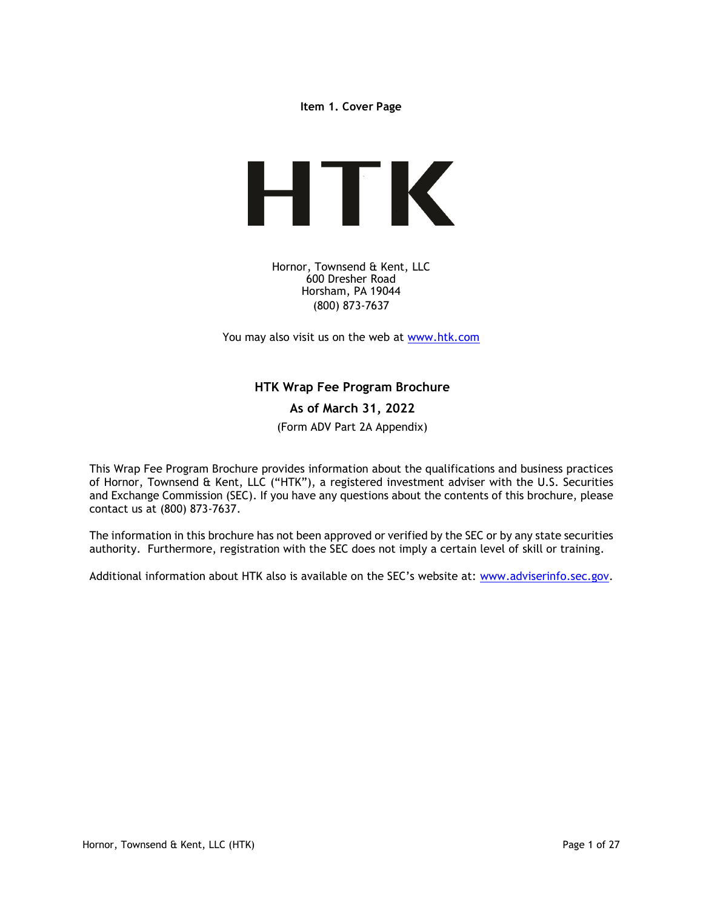Item 1. Cover Page



Hornor, Townsend & Kent, LLC 600 Dresher Road Horsham, PA 19044 (800) 873-7637

You may also visit us on the web at www.htk.com

# HTK Wrap Fee Program Brochure

# As of March 31, 2022

(Form ADV Part 2A Appendix)

This Wrap Fee Program Brochure provides information about the qualifications and business practices of Hornor, Townsend & Kent, LLC ("HTK"), a registered investment adviser with the U.S. Securities and Exchange Commission (SEC). If you have any questions about the contents of this brochure, please contact us at (800) 873-7637.

The information in this brochure has not been approved or verified by the SEC or by any state securities authority. Furthermore, registration with the SEC does not imply a certain level of skill or training.

Additional information about HTK also is available on the SEC's website at: www.adviserinfo.sec.gov.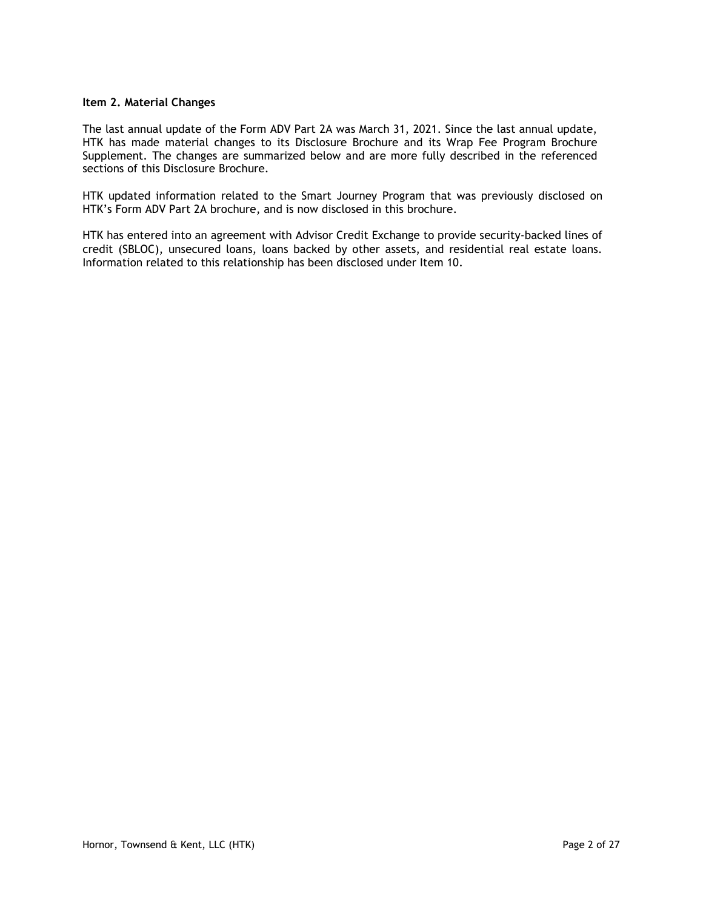#### Item 2. Material Changes

The last annual update of the Form ADV Part 2A was March 31, 2021. Since the last annual update, HTK has made material changes to its Disclosure Brochure and its Wrap Fee Program Brochure Supplement. The changes are summarized below and are more fully described in the referenced sections of this Disclosure Brochure.

HTK updated information related to the Smart Journey Program that was previously disclosed on HTK's Form ADV Part 2A brochure, and is now disclosed in this brochure.

HTK has entered into an agreement with Advisor Credit Exchange to provide security-backed lines of credit (SBLOC), unsecured loans, loans backed by other assets, and residential real estate loans. Information related to this relationship has been disclosed under Item 10.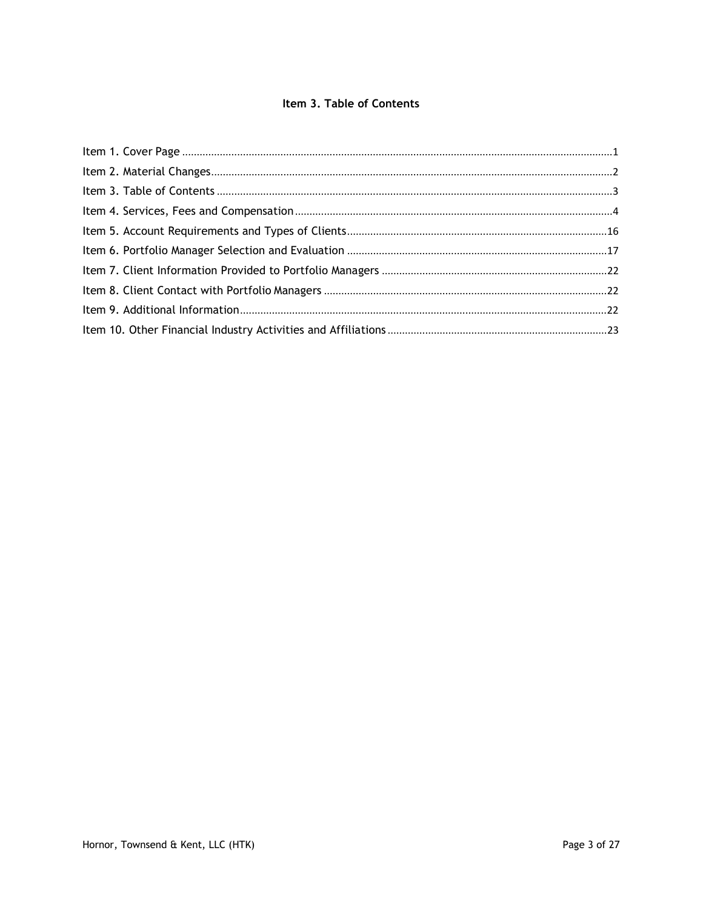# Item 3. Table of Contents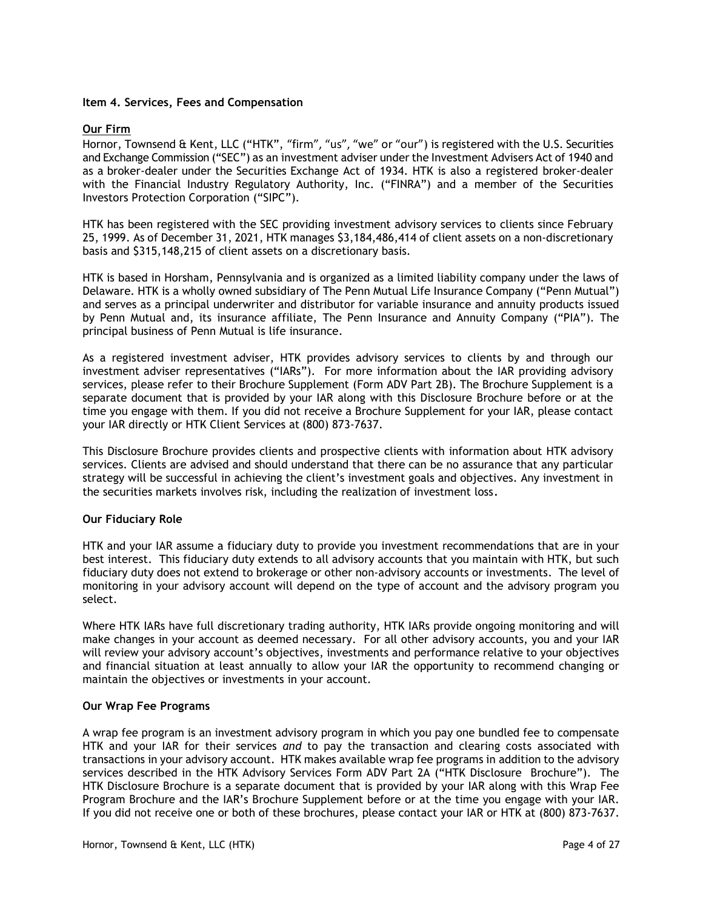### Item 4. Services, Fees and Compensation

# Our Firm

Hornor, Townsend & Kent, LLC ("HTK", "firm", "us", "we" or "our") is registered with the U.S. Securities and Exchange Commission ("SEC") as an investment adviser under the Investment Advisers Act of 1940 and as a broker-dealer under the Securities Exchange Act of 1934. HTK is also a registered broker-dealer with the Financial Industry Regulatory Authority, Inc. ("FINRA") and a member of the Securities Investors Protection Corporation ("SIPC").

HTK has been registered with the SEC providing investment advisory services to clients since February 25, 1999. As of December 31, 2021, HTK manages \$3,184,486,414 of client assets on a non-discretionary basis and \$315,148,215 of client assets on a discretionary basis.

HTK is based in Horsham, Pennsylvania and is organized as a limited liability company under the laws of Delaware. HTK is a wholly owned subsidiary of The Penn Mutual Life Insurance Company ("Penn Mutual") and serves as a principal underwriter and distributor for variable insurance and annuity products issued by Penn Mutual and, its insurance affiliate, The Penn Insurance and Annuity Company ("PIA"). The principal business of Penn Mutual is life insurance.

As a registered investment adviser, HTK provides advisory services to clients by and through our investment adviser representatives ("IARs"). For more information about the IAR providing advisory services, please refer to their Brochure Supplement (Form ADV Part 2B). The Brochure Supplement is a separate document that is provided by your IAR along with this Disclosure Brochure before or at the time you engage with them. If you did not receive a Brochure Supplement for your IAR, please contact your IAR directly or HTK Client Services at (800) 873-7637.

This Disclosure Brochure provides clients and prospective clients with information about HTK advisory services. Clients are advised and should understand that there can be no assurance that any particular strategy will be successful in achieving the client's investment goals and objectives. Any investment in the securities markets involves risk, including the realization of investment loss.

### Our Fiduciary Role

HTK and your IAR assume a fiduciary duty to provide you investment recommendations that are in your best interest. This fiduciary duty extends to all advisory accounts that you maintain with HTK, but such fiduciary duty does not extend to brokerage or other non-advisory accounts or investments. The level of monitoring in your advisory account will depend on the type of account and the advisory program you select.

Where HTK IARs have full discretionary trading authority, HTK IARs provide ongoing monitoring and will make changes in your account as deemed necessary. For all other advisory accounts, you and your IAR will review your advisory account's objectives, investments and performance relative to your objectives and financial situation at least annually to allow your IAR the opportunity to recommend changing or maintain the objectives or investments in your account.

### Our Wrap Fee Programs

A wrap fee program is an investment advisory program in which you pay one bundled fee to compensate HTK and your IAR for their services and to pay the transaction and clearing costs associated with transactions in your advisory account. HTK makes available wrap fee programs in addition to the advisory services described in the HTK Advisory Services Form ADV Part 2A ("HTK Disclosure Brochure"). The HTK Disclosure Brochure is a separate document that is provided by your IAR along with this Wrap Fee Program Brochure and the IAR's Brochure Supplement before or at the time you engage with your IAR. If you did not receive one or both of these brochures, please contact your IAR or HTK at (800) 873-7637.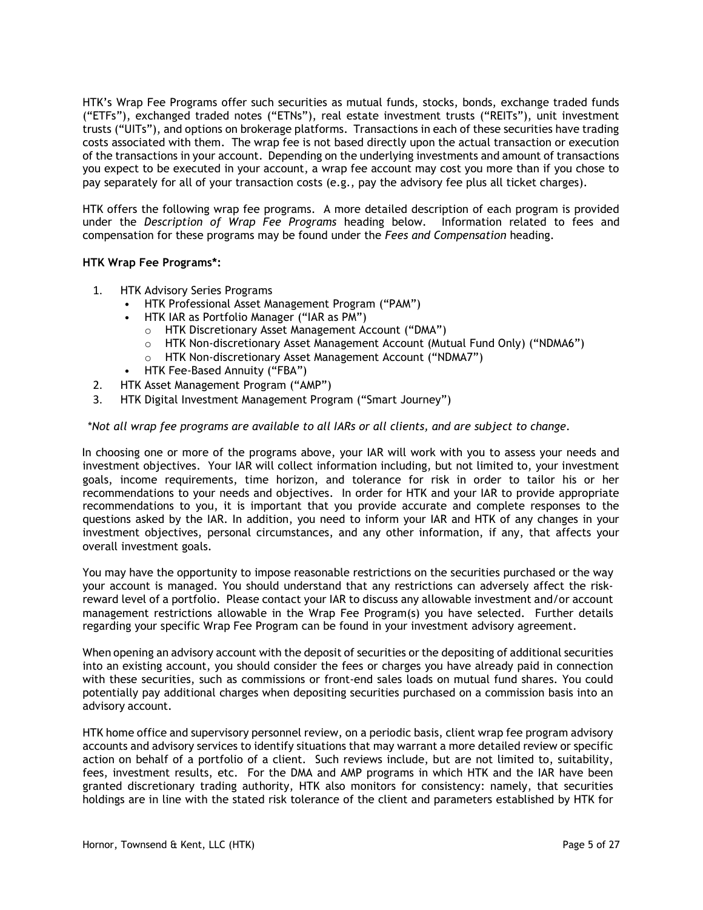HTK's Wrap Fee Programs offer such securities as mutual funds, stocks, bonds, exchange traded funds ("ETFs"), exchanged traded notes ("ETNs"), real estate investment trusts ("REITs"), unit investment trusts ("UITs"), and options on brokerage platforms. Transactions in each of these securities have trading costs associated with them. The wrap fee is not based directly upon the actual transaction or execution of the transactions in your account. Depending on the underlying investments and amount of transactions you expect to be executed in your account, a wrap fee account may cost you more than if you chose to pay separately for all of your transaction costs (e.g., pay the advisory fee plus all ticket charges).

HTK offers the following wrap fee programs. A more detailed description of each program is provided under the Description of Wrap Fee Programs heading below. Information related to fees and compensation for these programs may be found under the Fees and Compensation heading.

# HTK Wrap Fee Programs\*:

- 1. HTK Advisory Series Programs
	- HTK Professional Asset Management Program ("PAM")
	- HTK IAR as Portfolio Manager ("IAR as PM")
		- o HTK Discretionary Asset Management Account ("DMA")
		- o HTK Non-discretionary Asset Management Account (Mutual Fund Only) ("NDMA6")
		- o HTK Non-discretionary Asset Management Account ("NDMA7")
	- HTK Fee-Based Annuity ("FBA")
- 2. HTK Asset Management Program ("AMP")
- 3. HTK Digital Investment Management Program ("Smart Journey")

### \*Not all wrap fee programs are available to all IARs or all clients, and are subject to change.

In choosing one or more of the programs above, your IAR will work with you to assess your needs and investment objectives. Your IAR will collect information including, but not limited to, your investment goals, income requirements, time horizon, and tolerance for risk in order to tailor his or her recommendations to your needs and objectives. In order for HTK and your IAR to provide appropriate recommendations to you, it is important that you provide accurate and complete responses to the questions asked by the IAR. In addition, you need to inform your IAR and HTK of any changes in your investment objectives, personal circumstances, and any other information, if any, that affects your overall investment goals.

You may have the opportunity to impose reasonable restrictions on the securities purchased or the way your account is managed. You should understand that any restrictions can adversely affect the riskreward level of a portfolio. Please contact your IAR to discuss any allowable investment and/or account management restrictions allowable in the Wrap Fee Program(s) you have selected. Further details regarding your specific Wrap Fee Program can be found in your investment advisory agreement.

When opening an advisory account with the deposit of securities or the depositing of additional securities into an existing account, you should consider the fees or charges you have already paid in connection with these securities, such as commissions or front-end sales loads on mutual fund shares. You could potentially pay additional charges when depositing securities purchased on a commission basis into an advisory account.

HTK home office and supervisory personnel review, on a periodic basis, client wrap fee program advisory accounts and advisory services to identify situations that may warrant a more detailed review or specific action on behalf of a portfolio of a client. Such reviews include, but are not limited to, suitability, fees, investment results, etc. For the DMA and AMP programs in which HTK and the IAR have been granted discretionary trading authority, HTK also monitors for consistency: namely, that securities holdings are in line with the stated risk tolerance of the client and parameters established by HTK for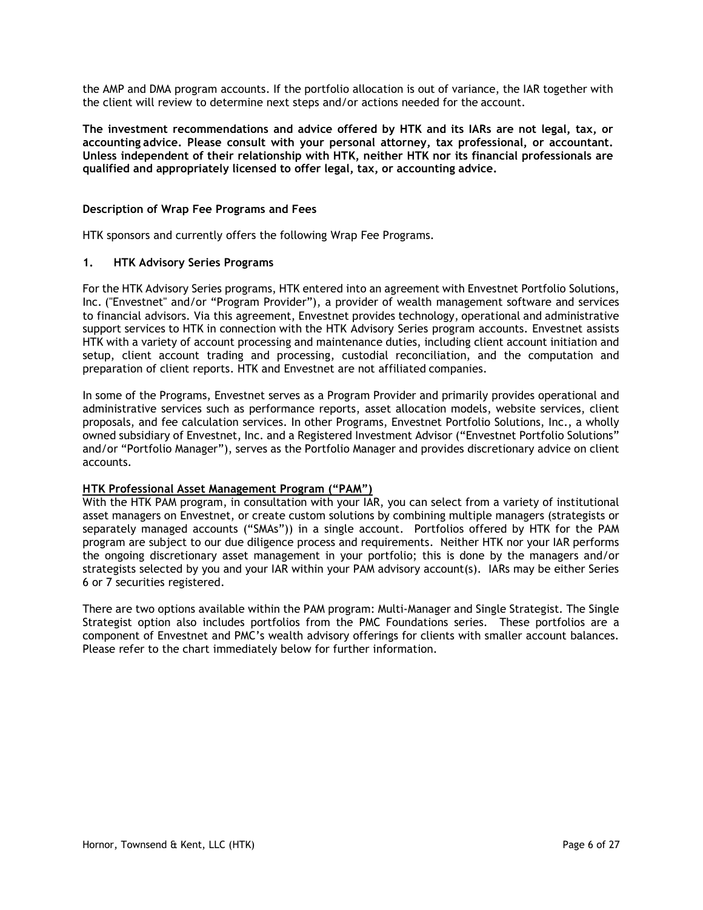the AMP and DMA program accounts. If the portfolio allocation is out of variance, the IAR together with the client will review to determine next steps and/or actions needed for the account.

The investment recommendations and advice offered by HTK and its IARs are not legal, tax, or accounting advice. Please consult with your personal attorney, tax professional, or accountant. Unless independent of their relationship with HTK, neither HTK nor its financial professionals are qualified and appropriately licensed to offer legal, tax, or accounting advice.

## Description of Wrap Fee Programs and Fees

HTK sponsors and currently offers the following Wrap Fee Programs.

# 1. HTK Advisory Series Programs

For the HTK Advisory Series programs, HTK entered into an agreement with Envestnet Portfolio Solutions, Inc. ("Envestnet" and/or "Program Provider"), a provider of wealth management software and services to financial advisors. Via this agreement, Envestnet provides technology, operational and administrative support services to HTK in connection with the HTK Advisory Series program accounts. Envestnet assists HTK with a variety of account processing and maintenance duties, including client account initiation and setup, client account trading and processing, custodial reconciliation, and the computation and preparation of client reports. HTK and Envestnet are not affiliated companies.

In some of the Programs, Envestnet serves as a Program Provider and primarily provides operational and administrative services such as performance reports, asset allocation models, website services, client proposals, and fee calculation services. In other Programs, Envestnet Portfolio Solutions, Inc., a wholly owned subsidiary of Envestnet, Inc. and a Registered Investment Advisor ("Envestnet Portfolio Solutions" and/or "Portfolio Manager"), serves as the Portfolio Manager and provides discretionary advice on client accounts.

### H TK Professional Asset Management Program ("PAM")

With the HTK PAM program, in consultation with your IAR, you can select from a variety of institutional asset managers on Envestnet, or create custom solutions by combining multiple managers (strategists or separately managed accounts ("SMAs")) in a single account. Portfolios offered by HTK for the PAM program are subject to our due diligence process and requirements. Neither HTK nor your IAR performs the ongoing discretionary asset management in your portfolio; this is done by the managers and/or strategists selected by you and your IAR within your PAM advisory account(s). IARs may be either Series 6 or 7 securities registered.

There are two options available within the PAM program: Multi-Manager and Single Strategist. The Single Strategist option also includes portfolios from the PMC Foundations series. These portfolios are a component of Envestnet and PMC's wealth advisory offerings for clients with smaller account balances. Please refer to the chart immediately below for further information.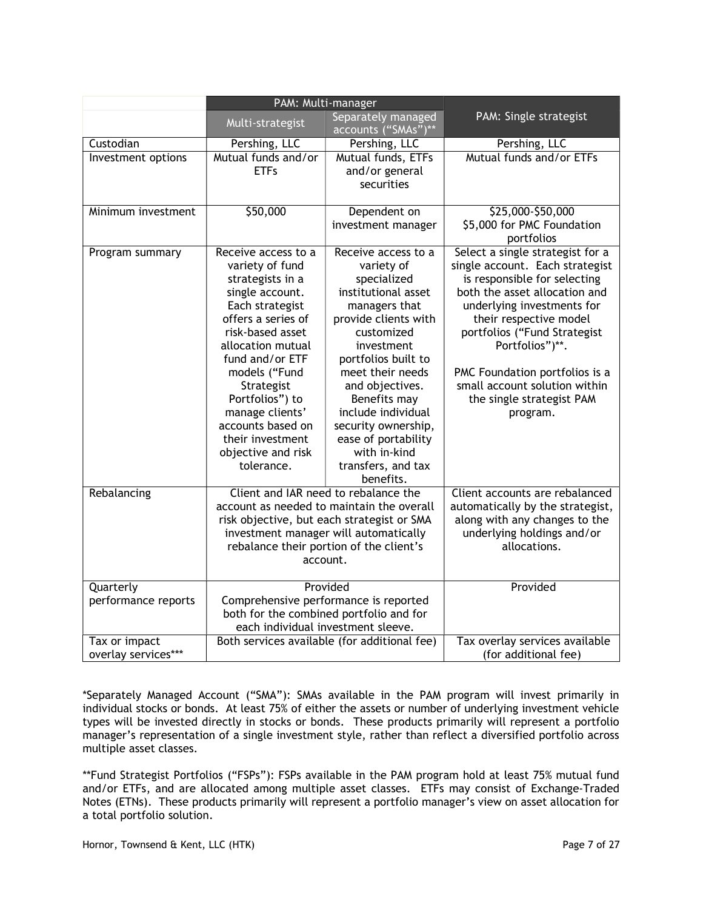|                                      | PAM: Multi-manager                                                                                                                                                                                                                                                                                                                   |                                                                                                                                                                                                                                                                                                                                                   |                                                                                                                                                                                                                                                                                                                                                             |
|--------------------------------------|--------------------------------------------------------------------------------------------------------------------------------------------------------------------------------------------------------------------------------------------------------------------------------------------------------------------------------------|---------------------------------------------------------------------------------------------------------------------------------------------------------------------------------------------------------------------------------------------------------------------------------------------------------------------------------------------------|-------------------------------------------------------------------------------------------------------------------------------------------------------------------------------------------------------------------------------------------------------------------------------------------------------------------------------------------------------------|
|                                      | Multi-strategist                                                                                                                                                                                                                                                                                                                     | Separately managed<br>accounts ("SMAs")**                                                                                                                                                                                                                                                                                                         | PAM: Single strategist                                                                                                                                                                                                                                                                                                                                      |
| Custodian                            | Pershing, LLC                                                                                                                                                                                                                                                                                                                        | Pershing, LLC                                                                                                                                                                                                                                                                                                                                     | Pershing, LLC                                                                                                                                                                                                                                                                                                                                               |
| Investment options                   | Mutual funds and/or<br><b>ETFs</b>                                                                                                                                                                                                                                                                                                   | Mutual funds, ETFs<br>and/or general<br>securities                                                                                                                                                                                                                                                                                                | Mutual funds and/or ETFs                                                                                                                                                                                                                                                                                                                                    |
| Minimum investment                   | \$50,000                                                                                                                                                                                                                                                                                                                             | Dependent on<br>investment manager                                                                                                                                                                                                                                                                                                                | \$25,000-\$50,000<br>\$5,000 for PMC Foundation<br>portfolios                                                                                                                                                                                                                                                                                               |
| Program summary                      | Receive access to a<br>variety of fund<br>strategists in a<br>single account.<br>Each strategist<br>offers a series of<br>risk-based asset<br>allocation mutual<br>fund and/or ETF<br>models ("Fund<br>Strategist<br>Portfolios") to<br>manage clients'<br>accounts based on<br>their investment<br>objective and risk<br>tolerance. | Receive access to a<br>variety of<br>specialized<br>institutional asset<br>managers that<br>provide clients with<br>customized<br>investment<br>portfolios built to<br>meet their needs<br>and objectives.<br>Benefits may<br>include individual<br>security ownership,<br>ease of portability<br>with in-kind<br>transfers, and tax<br>benefits. | Select a single strategist for a<br>single account. Each strategist<br>is responsible for selecting<br>both the asset allocation and<br>underlying investments for<br>their respective model<br>portfolios ("Fund Strategist<br>Portfolios")**.<br>PMC Foundation portfolios is a<br>small account solution within<br>the single strategist PAM<br>program. |
| Rebalancing                          | Client and IAR need to rebalance the<br>account as needed to maintain the overall<br>risk objective, but each strategist or SMA<br>investment manager will automatically<br>rebalance their portion of the client's<br>account.                                                                                                      |                                                                                                                                                                                                                                                                                                                                                   | Client accounts are rebalanced<br>automatically by the strategist,<br>along with any changes to the<br>underlying holdings and/or<br>allocations.                                                                                                                                                                                                           |
| Quarterly<br>performance reports     | Provided<br>Comprehensive performance is reported<br>both for the combined portfolio and for<br>each individual investment sleeve.                                                                                                                                                                                                   |                                                                                                                                                                                                                                                                                                                                                   | Provided                                                                                                                                                                                                                                                                                                                                                    |
| Tax or impact<br>overlay services*** | Both services available (for additional fee)                                                                                                                                                                                                                                                                                         |                                                                                                                                                                                                                                                                                                                                                   | Tax overlay services available<br>(for additional fee)                                                                                                                                                                                                                                                                                                      |

\*Separately Managed Account ("SMA"): SMAs available in the PAM program will invest primarily in individual stocks or bonds. At least 75% of either the assets or number of underlying investment vehicle types will be invested directly in stocks or bonds. These products primarily will represent a portfolio manager's representation of a single investment style, rather than reflect a diversified portfolio across multiple asset classes.

\*\*Fund Strategist Portfolios ("FSPs"): FSPs available in the PAM program hold at least 75% mutual fund and/or ETFs, and are allocated among multiple asset classes. ETFs may consist of Exchange-Traded Notes (ETNs). These products primarily will represent a portfolio manager's view on asset allocation for a total portfolio solution.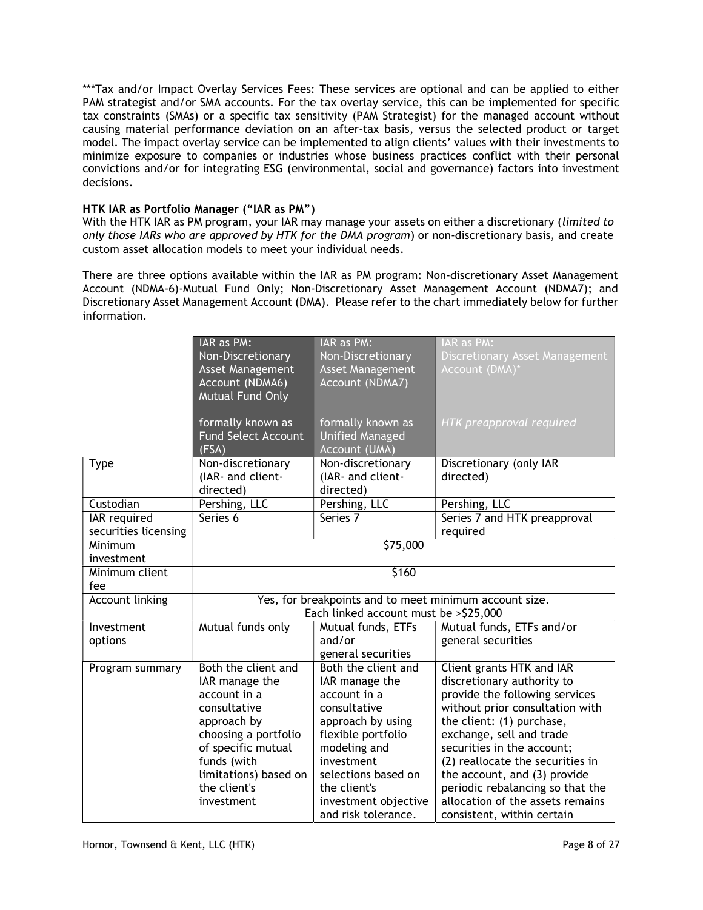\*\*\*Tax and/or Impact Overlay Services Fees: These services are optional and can be applied to either PAM strategist and/or SMA accounts. For the tax overlay service, this can be implemented for specific tax constraints (SMAs) or a specific tax sensitivity (PAM Strategist) for the managed account without causing material performance deviation on an after-tax basis, versus the selected product or target model. The impact overlay service can be implemented to align clients' values with their investments to minimize exposure to companies or industries whose business practices conflict with their personal convictions and/or for integrating ESG (environmental, social and governance) factors into investment decisions.

# HTK IAR as Portfolio Manager ("IAR as PM")

With the HTK IAR as PM program, your IAR may manage your assets on either a discretionary (limited to only those IARs who are approved by HTK for the DMA program) or non-discretionary basis, and create custom asset allocation models to meet your individual needs.

There are three options available within the IAR as PM program: Non-discretionary Asset Management Account (NDMA-6)-Mutual Fund Only; Non-Discretionary Asset Management Account (NDMA7); and Discretionary Asset Management Account (DMA). Please refer to the chart immediately below for further information.

|                      | IAR as PM:                                             | IAR as PM:              | IAR as PM:                            |
|----------------------|--------------------------------------------------------|-------------------------|---------------------------------------|
|                      | Non-Discretionary                                      | Non-Discretionary       | <b>Discretionary Asset Management</b> |
|                      | Asset Management                                       | <b>Asset Management</b> | Account (DMA)*                        |
|                      | Account (NDMA6)                                        | Account (NDMA7)         |                                       |
|                      | Mutual Fund Only                                       |                         |                                       |
|                      |                                                        |                         |                                       |
|                      | formally known as                                      | formally known as       | HTK preapproval required              |
|                      | <b>Fund Select Account</b>                             | <b>Unified Managed</b>  |                                       |
|                      | (FSA)                                                  | Account (UMA)           |                                       |
| <b>Type</b>          | Non-discretionary                                      | Non-discretionary       | Discretionary (only IAR               |
|                      | (IAR- and client-                                      | (IAR- and client-       | directed)                             |
|                      | directed)                                              | directed)               |                                       |
| Custodian            | Pershing, LLC                                          | Pershing, LLC           | Pershing, LLC                         |
| <b>IAR</b> required  | Series 6                                               | Series 7                | Series 7 and HTK preapproval          |
| securities licensing |                                                        |                         | required                              |
| Minimum              | \$75,000                                               |                         |                                       |
| investment           |                                                        |                         |                                       |
| Minimum client       | \$160                                                  |                         |                                       |
| fee                  |                                                        |                         |                                       |
| Account linking      | Yes, for breakpoints and to meet minimum account size. |                         |                                       |
|                      | Each linked account must be > \$25,000                 |                         |                                       |
| Investment           | Mutual funds only                                      | Mutual funds, ETFs      | Mutual funds, ETFs and/or             |
| options              |                                                        | and/or                  | general securities                    |
|                      |                                                        | general securities      |                                       |
| Program summary      | Both the client and                                    | Both the client and     | Client grants HTK and IAR             |
|                      | IAR manage the                                         | IAR manage the          | discretionary authority to            |
|                      | account in a                                           | account in a            | provide the following services        |
|                      | consultative                                           | consultative            | without prior consultation with       |
|                      | approach by                                            | approach by using       | the client: (1) purchase,             |
|                      | choosing a portfolio                                   | flexible portfolio      | exchange, sell and trade              |
|                      | of specific mutual                                     | modeling and            | securities in the account;            |
|                      | funds (with                                            | investment              | (2) reallocate the securities in      |
|                      | limitations) based on                                  | selections based on     | the account, and (3) provide          |
|                      | the client's                                           | the client's            | periodic rebalancing so that the      |
|                      | investment                                             | investment objective    | allocation of the assets remains      |
|                      |                                                        | and risk tolerance.     | consistent, within certain            |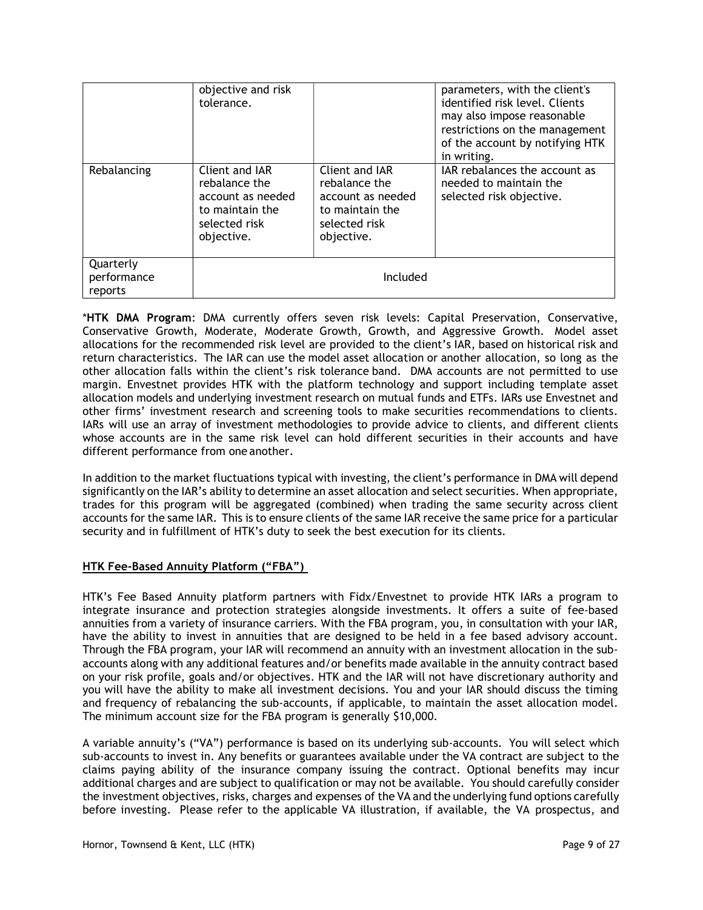|                                     | objective and risk<br>tolerance.                                                                       |                                                                                                        | parameters, with the client's<br>identified risk level. Clients<br>may also impose reasonable<br>restrictions on the management<br>of the account by notifying HTK<br>in writing. |
|-------------------------------------|--------------------------------------------------------------------------------------------------------|--------------------------------------------------------------------------------------------------------|-----------------------------------------------------------------------------------------------------------------------------------------------------------------------------------|
| Rebalancing                         | Client and IAR<br>rebalance the<br>account as needed<br>to maintain the<br>selected risk<br>objective. | Client and IAR<br>rebalance the<br>account as needed<br>to maintain the<br>selected risk<br>objective. | IAR rebalances the account as<br>needed to maintain the<br>selected risk objective.                                                                                               |
| Quarterly<br>performance<br>reports | Included                                                                                               |                                                                                                        |                                                                                                                                                                                   |

\*HTK DMA Program: DMA currently offers seven risk levels: Capital Preservation, Conservative, Conservative Growth, Moderate, Moderate Growth, Growth, and Aggressive Growth. Model asset allocations for the recommended risk level are provided to the client's IAR, based on historical risk and return characteristics. The IAR can use the model asset allocation or another allocation, so long as the other allocation falls within the client's risk tolerance band. DMA accounts are not permitted to use margin. Envestnet provides HTK with the platform technology and support including template asset allocation models and underlying investment research on mutual funds and ETFs. IARs use Envestnet and other firms' investment research and screening tools to make securities recommendations to clients. IARs will use an array of investment methodologies to provide advice to clients, and different clients whose accounts are in the same risk level can hold different securities in their accounts and have different performance from one another.

In addition to the market fluctuations typical with investing, the client's performance in DMA will depend significantly on the IAR's ability to determine an asset allocation and select securities. When appropriate, trades for this program will be aggregated (combined) when trading the same security across client accounts for the same IAR. This is to ensure clients of the same IAR receive the same price for a particular security and in fulfillment of HTK's duty to seek the best execution for its clients.

# HTK Fee-Based Annuity Platform ("FBA")

HTK's Fee Based Annuity platform partners with Fidx/Envestnet to provide HTK IARs a program to integrate insurance and protection strategies alongside investments. It offers a suite of fee-based annuities from a variety of insurance carriers. With the FBA program, you, in consultation with your IAR, have the ability to invest in annuities that are designed to be held in a fee based advisory account. Through the FBA program, your IAR will recommend an annuity with an investment allocation in the subaccounts along with any additional features and/or benefits made available in the annuity contract based on your risk profile, goals and/or objectives. HTK and the IAR will not have discretionary authority and you will have the ability to make all investment decisions. You and your IAR should discuss the timing and frequency of rebalancing the sub-accounts, if applicable, to maintain the asset allocation model. The minimum account size for the FBA program is generally \$10,000.

A variable annuity's ("VA") performance is based on its underlying sub-accounts. You will select which sub-accounts to invest in. Any benefits or guarantees available under the VA contract are subject to the claims paying ability of the insurance company issuing the contract. Optional benefits may incur additional charges and are subject to qualification or may not be available. You should carefully consider the investment objectives, risks, charges and expenses of the VA and the underlying fund options carefully before investing. Please refer to the applicable VA illustration, if available, the VA prospectus, and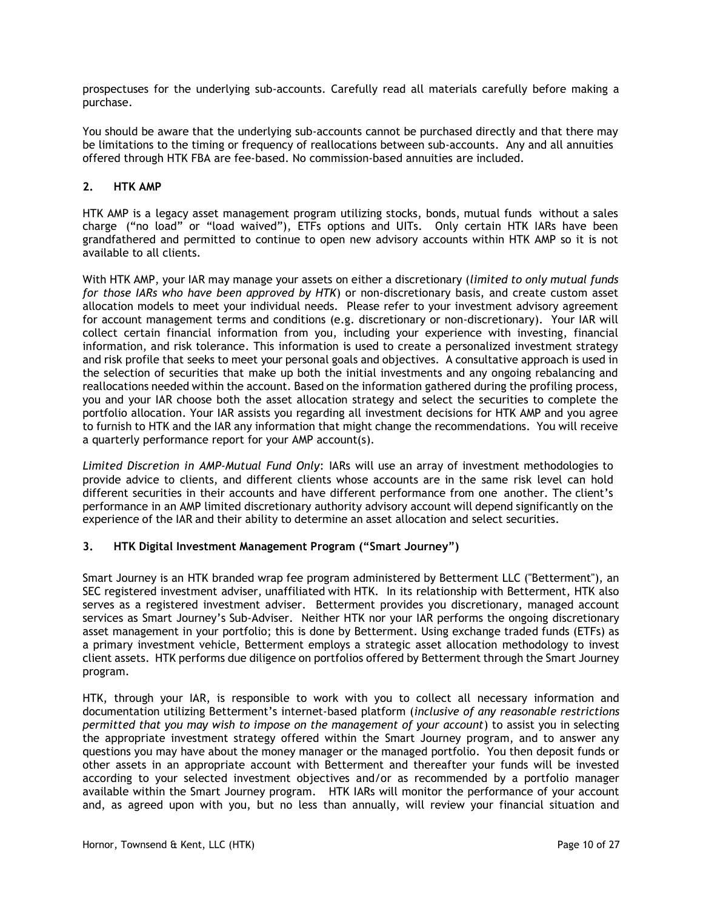prospectuses for the underlying sub-accounts. Carefully read all materials carefully before making a purchase.

You should be aware that the underlying sub-accounts cannot be purchased directly and that there may be limitations to the timing or frequency of reallocations between sub-accounts. Any and all annuities offered through HTK FBA are fee-based. No commission-based annuities are included.

# 2. HTK AMP

HTK AMP is a legacy asset management program utilizing stocks, bonds, mutual funds without a sales charge ("no load" or "load waived"), ETFs options and UITs. Only certain HTK IARs have been grandfathered and permitted to continue to open new advisory accounts within HTK AMP so it is not available to all clients.

With HTK AMP, your IAR may manage your assets on either a discretionary (limited to only mutual funds for those IARs who have been approved by HTK) or non-discretionary basis, and create custom asset allocation models to meet your individual needs. Please refer to your investment advisory agreement for account management terms and conditions (e.g. discretionary or non-discretionary). Your IAR will collect certain financial information from you, including your experience with investing, financial information, and risk tolerance. This information is used to create a personalized investment strategy and risk profile that seeks to meet your personal goals and objectives. A consultative approach is used in the selection of securities that make up both the initial investments and any ongoing rebalancing and reallocations needed within the account. Based on the information gathered during the profiling process, you and your IAR choose both the asset allocation strategy and select the securities to complete the portfolio allocation. Your IAR assists you regarding all investment decisions for HTK AMP and you agree to furnish to HTK and the IAR any information that might change the recommendations. You will receive a quarterly performance report for your AMP account(s).

Limited Discretion in AMP-Mutual Fund Only: IARs will use an array of investment methodologies to provide advice to clients, and different clients whose accounts are in the same risk level can hold different securities in their accounts and have different performance from one another. The client's performance in an AMP limited discretionary authority advisory account will depend significantly on the experience of the IAR and their ability to determine an asset allocation and select securities.

# 3. HTK Digital Investment Management Program ("Smart Journey")

Smart Journey is an HTK branded wrap fee program administered by Betterment LLC ("Betterment"), an SEC registered investment adviser, unaffiliated with HTK. In its relationship with Betterment, HTK also serves as a registered investment adviser. Betterment provides you discretionary, managed account services as Smart Journey's Sub-Adviser. Neither HTK nor your IAR performs the ongoing discretionary asset management in your portfolio; this is done by Betterment. Using exchange traded funds (ETFs) as a primary investment vehicle, Betterment employs a strategic asset allocation methodology to invest client assets. HTK performs due diligence on portfolios offered by Betterment through the Smart Journey program.

HTK, through your IAR, is responsible to work with you to collect all necessary information and documentation utilizing Betterment's internet-based platform (inclusive of any reasonable restrictions permitted that you may wish to impose on the management of your account) to assist you in selecting the appropriate investment strategy offered within the Smart Journey program, and to answer any questions you may have about the money manager or the managed portfolio. You then deposit funds or other assets in an appropriate account with Betterment and thereafter your funds will be invested according to your selected investment objectives and/or as recommended by a portfolio manager available within the Smart Journey program. HTK IARs will monitor the performance of your account and, as agreed upon with you, but no less than annually, will review your financial situation and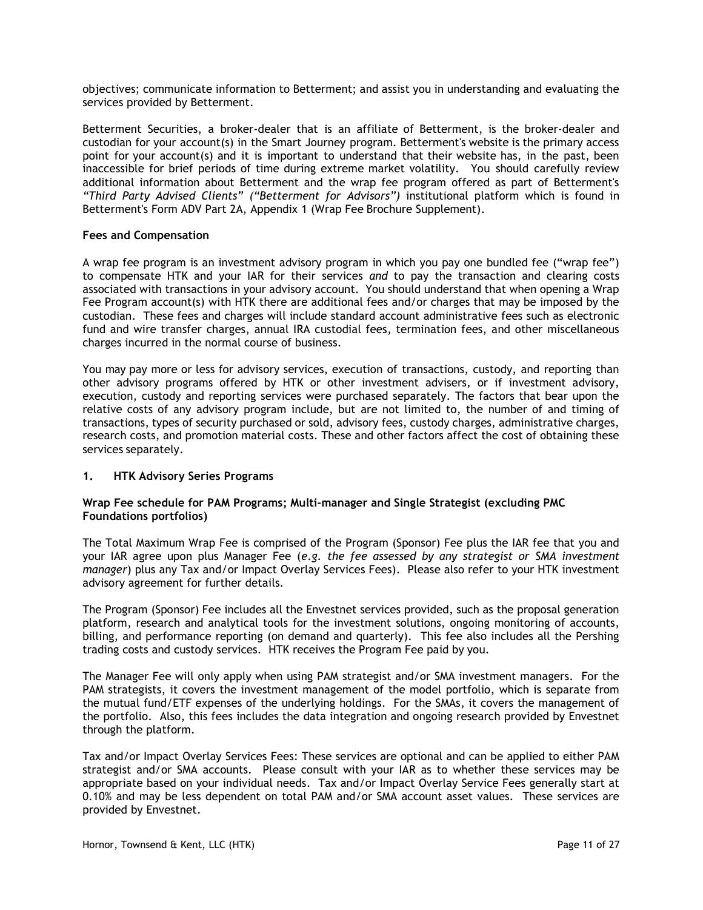objectives; communicate information to Betterment; and assist you in understanding and evaluating the services provided by Betterment.

Betterment Securities, a broker-dealer that is an affiliate of Betterment, is the broker-dealer and custodian for your account(s) in the Smart Journey program. Betterment's website is the primary access point for your account(s) and it is important to understand that their website has, in the past, been inaccessible for brief periods of time during extreme market volatility. You should carefully review additional information about Betterment and the wrap fee program offered as part of Betterment's "Third Party Advised Clients" ("Betterment for Advisors") institutional platform which is found in Betterment's Form ADV Part 2A, Appendix 1 (Wrap Fee Brochure Supplement).

#### Fees and Compensation

A wrap fee program is an investment advisory program in which you pay one bundled fee ("wrap fee") to compensate HTK and your IAR for their services and to pay the transaction and clearing costs associated with transactions in your advisory account. You should understand that when opening a Wrap Fee Program account(s) with HTK there are additional fees and/or charges that may be imposed by the custodian. These fees and charges will include standard account administrative fees such as electronic fund and wire transfer charges, annual IRA custodial fees, termination fees, and other miscellaneous charges incurred in the normal course of business.

You may pay more or less for advisory services, execution of transactions, custody, and reporting than other advisory programs offered by HTK or other investment advisers, or if investment advisory, execution, custody and reporting services were purchased separately. The factors that bear upon the relative costs of any advisory program include, but are not limited to, the number of and timing of transactions, types of security purchased or sold, advisory fees, custody charges, administrative charges, research costs, and promotion material costs. These and other factors affect the cost of obtaining these services separately.

#### 1. HTK Advisory Series Programs

### Wrap Fee schedule for PAM Programs; Multi-manager and Single Strategist (excluding PMC Foundations portfolios)

The Total Maximum Wrap Fee is comprised of the Program (Sponsor) Fee plus the IAR fee that you and your IAR agree upon plus Manager Fee (e.g. the fee assessed by any strategist or SMA investment manager) plus any Tax and/or Impact Overlay Services Fees). Please also refer to your HTK investment advisory agreement for further details.

The Program (Sponsor) Fee includes all the Envestnet services provided, such as the proposal generation platform, research and analytical tools for the investment solutions, ongoing monitoring of accounts, billing, and performance reporting (on demand and quarterly). This fee also includes all the Pershing trading costs and custody services. HTK receives the Program Fee paid by you.

The Manager Fee will only apply when using PAM strategist and/or SMA investment managers. For the PAM strategists, it covers the investment management of the model portfolio, which is separate from the mutual fund/ETF expenses of the underlying holdings. For the SMAs, it covers the management of the portfolio. Also, this fees includes the data integration and ongoing research provided by Envestnet through the platform.

Tax and/or Impact Overlay Services Fees: These services are optional and can be applied to either PAM strategist and/or SMA accounts. Please consult with your IAR as to whether these services may be appropriate based on your individual needs. Tax and/or Impact Overlay Service Fees generally start at 0.10% and may be less dependent on total PAM and/or SMA account asset values. These services are provided by Envestnet.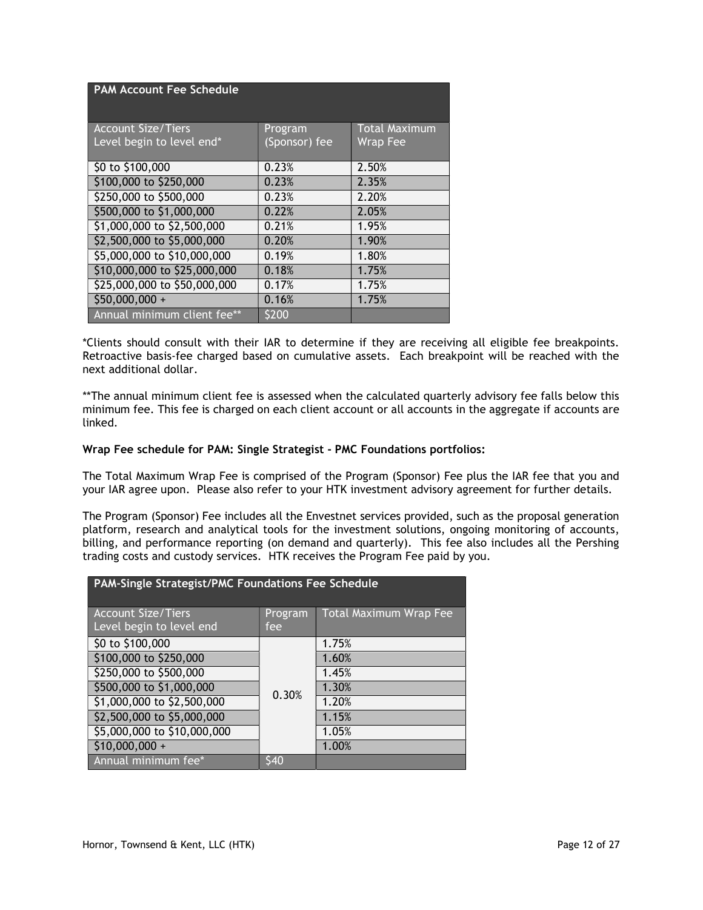| <b>PAM Account Fee Schedule</b> |               |                      |
|---------------------------------|---------------|----------------------|
| <b>Account Size/Tiers</b>       | Program       | <b>Total Maximum</b> |
| Level begin to level end*       | (Sponsor) fee | Wrap Fee             |
| \$0 to \$100,000                | 0.23%         | 2.50%                |
| \$100,000 to \$250,000          | 0.23%         | 2.35%                |
| \$250,000 to \$500,000          | 0.23%         | 2.20%                |
| \$500,000 to \$1,000,000        | 0.22%         | 2.05%                |
| \$1,000,000 to \$2,500,000      | 0.21%         | 1.95%                |
| \$2,500,000 to \$5,000,000      | 0.20%         | 1.90%                |
| \$5,000,000 to \$10,000,000     | 0.19%         | 1.80%                |
| \$10,000,000 to \$25,000,000    | 0.18%         | 1.75%                |
| \$25,000,000 to \$50,000,000    | 0.17%         | 1.75%                |
| $$50,000,000 +$                 | 0.16%         | 1.75%                |
| Annual minimum client fee**     | \$200         |                      |

\*Clients should consult with their IAR to determine if they are receiving all eligible fee breakpoints. Retroactive basis-fee charged based on cumulative assets. Each breakpoint will be reached with the next additional dollar.

\*\*The annual minimum client fee is assessed when the calculated quarterly advisory fee falls below this minimum fee. This fee is charged on each client account or all accounts in the aggregate if accounts are linked.

## Wrap Fee schedule for PAM: Single Strategist - PMC Foundations portfolios:

The Total Maximum Wrap Fee is comprised of the Program (Sponsor) Fee plus the IAR fee that you and your IAR agree upon. Please also refer to your HTK investment advisory agreement for further details.

The Program (Sponsor) Fee includes all the Envestnet services provided, such as the proposal generation platform, research and analytical tools for the investment solutions, ongoing monitoring of accounts, billing, and performance reporting (on demand and quarterly). This fee also includes all the Pershing trading costs and custody services. HTK receives the Program Fee paid by you.

| PAM-Single Strategist/PMC Foundations Fee Schedule    |                 |                               |  |
|-------------------------------------------------------|-----------------|-------------------------------|--|
| <b>Account Size/Tiers</b><br>Level begin to level end | Program<br>fee. | <b>Total Maximum Wrap Fee</b> |  |
| \$0 to \$100,000                                      |                 | 1.75%                         |  |
| \$100,000 to \$250,000                                |                 | 1.60%                         |  |
| \$250,000 to \$500,000                                |                 | 1.45%                         |  |
| \$500,000 to \$1,000,000                              | 0.30%           | 1.30%                         |  |
| \$1,000,000 to \$2,500,000                            |                 | 1.20%                         |  |
| \$2,500,000 to \$5,000,000                            |                 | 1.15%                         |  |
| \$5,000,000 to \$10,000,000                           |                 | 1.05%                         |  |
| $$10,000,000 +$                                       |                 | 1.00%                         |  |
| Annual minimum fee*                                   | 540             |                               |  |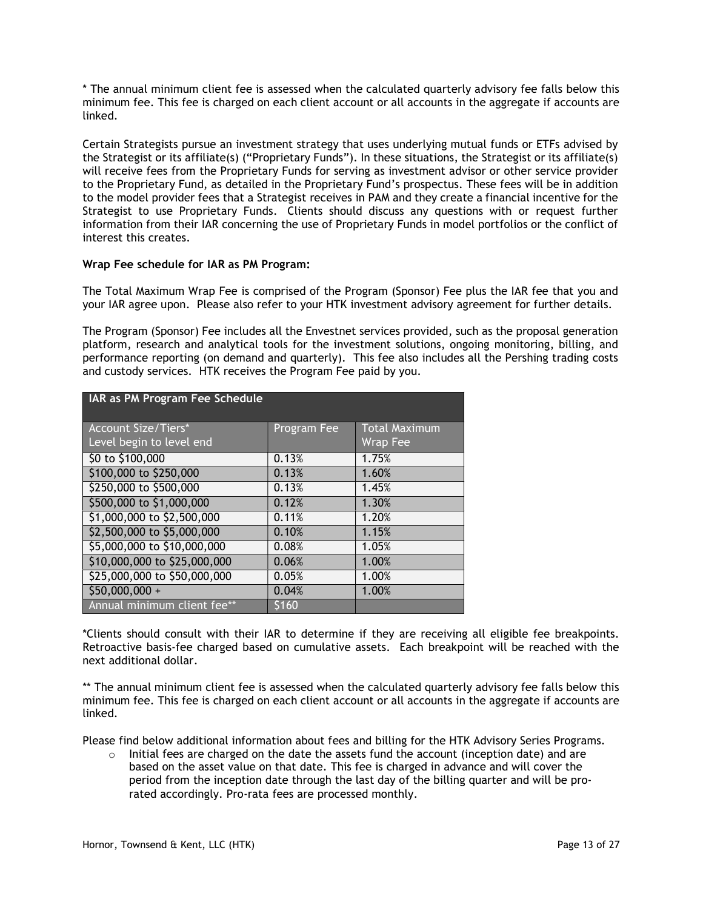\* The annual minimum client fee is assessed when the calculated quarterly advisory fee falls below this minimum fee. This fee is charged on each client account or all accounts in the aggregate if accounts are linked.

Certain Strategists pursue an investment strategy that uses underlying mutual funds or ETFs advised by the Strategist or its affiliate(s) ("Proprietary Funds"). In these situations, the Strategist or its affiliate(s) will receive fees from the Proprietary Funds for serving as investment advisor or other service provider to the Proprietary Fund, as detailed in the Proprietary Fund's prospectus. These fees will be in addition to the model provider fees that a Strategist receives in PAM and they create a financial incentive for the Strategist to use Proprietary Funds. Clients should discuss any questions with or request further information from their IAR concerning the use of Proprietary Funds in model portfolios or the conflict of interest this creates.

# Wrap Fee schedule for IAR as PM Program:

The Total Maximum Wrap Fee is comprised of the Program (Sponsor) Fee plus the IAR fee that you and your IAR agree upon. Please also refer to your HTK investment advisory agreement for further details.

The Program (Sponsor) Fee includes all the Envestnet services provided, such as the proposal generation platform, research and analytical tools for the investment solutions, ongoing monitoring, billing, and performance reporting (on demand and quarterly). This fee also includes all the Pershing trading costs and custody services. HTK receives the Program Fee paid by you.

| IAR as PM Program Fee Schedule                         |             |                                         |  |
|--------------------------------------------------------|-------------|-----------------------------------------|--|
| <b>Account Size/Tiers*</b><br>Level begin to level end | Program Fee | <b>Total Maximum</b><br><b>Wrap Fee</b> |  |
| \$0 to \$100,000                                       | 0.13%       | 1.75%                                   |  |
| \$100,000 to \$250,000                                 | 0.13%       | 1.60%                                   |  |
| \$250,000 to \$500,000                                 | 0.13%       | 1.45%                                   |  |
| \$500,000 to \$1,000,000                               | 0.12%       | 1.30%                                   |  |
| \$1,000,000 to \$2,500,000                             | 0.11%       | 1.20%                                   |  |
| \$2,500,000 to \$5,000,000                             | 0.10%       | 1.15%                                   |  |
| \$5,000,000 to \$10,000,000                            | 0.08%       | 1.05%                                   |  |
| \$10,000,000 to \$25,000,000                           | 0.06%       | 1.00%                                   |  |
| \$25,000,000 to \$50,000,000                           | 0.05%       | 1.00%                                   |  |
| \$50,000,000 +                                         | 0.04%       | 1.00%                                   |  |
| Annual minimum client fee**                            | \$160       |                                         |  |

\*Clients should consult with their IAR to determine if they are receiving all eligible fee breakpoints. Retroactive basis-fee charged based on cumulative assets. Each breakpoint will be reached with the next additional dollar.

\*\* The annual minimum client fee is assessed when the calculated quarterly advisory fee falls below this minimum fee. This fee is charged on each client account or all accounts in the aggregate if accounts are linked.

Please find below additional information about fees and billing for the HTK Advisory Series Programs.

 $\circ$  Initial fees are charged on the date the assets fund the account (inception date) and are based on the asset value on that date. This fee is charged in advance and will cover the period from the inception date through the last day of the billing quarter and will be prorated accordingly. Pro-rata fees are processed monthly.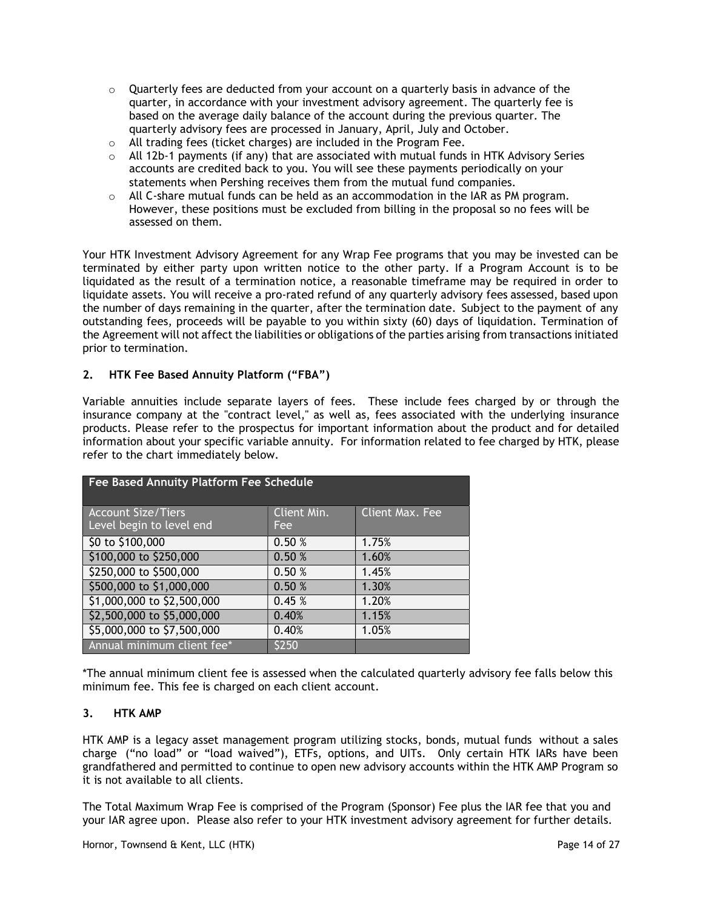- $\circ$  Quarterly fees are deducted from your account on a quarterly basis in advance of the quarter, in accordance with your investment advisory agreement. The quarterly fee is based on the average daily balance of the account during the previous quarter. The quarterly advisory fees are processed in January, April, July and October.
- o All trading fees (ticket charges) are included in the Program Fee.
- $\circ$  All 12b-1 payments (if any) that are associated with mutual funds in HTK Advisory Series accounts are credited back to you. You will see these payments periodically on your statements when Pershing receives them from the mutual fund companies.
- $\circ$  All C-share mutual funds can be held as an accommodation in the IAR as PM program. However, these positions must be excluded from billing in the proposal so no fees will be assessed on them.

Your HTK Investment Advisory Agreement for any Wrap Fee programs that you may be invested can be terminated by either party upon written notice to the other party. If a Program Account is to be liquidated as the result of a termination notice, a reasonable timeframe may be required in order to liquidate assets. You will receive a pro-rated refund of any quarterly advisory fees assessed, based upon the number of days remaining in the quarter, after the termination date. Subject to the payment of any outstanding fees, proceeds will be payable to you within sixty (60) days of liquidation. Termination of the Agreement will not affect the liabilities or obligations of the parties arising from transactions initiated prior to termination.

# 2. HTK Fee Based Annuity Platform ("FBA")

Variable annuities include separate layers of fees. These include fees charged by or through the insurance company at the "contract level," as well as, fees associated with the underlying insurance products. Please refer to the prospectus for important information about the product and for detailed information about your specific variable annuity. For information related to fee charged by HTK, please refer to the chart immediately below.

| Fee Based Annuity Platform Fee Schedule |             |                 |  |
|-----------------------------------------|-------------|-----------------|--|
| <b>Account Size/Tiers</b>               | Client Min. | Client Max. Fee |  |
| Level begin to level end                | Fee         |                 |  |
| \$0 to \$100,000                        | 0.50 %      | 1.75%           |  |
| \$100,000 to \$250,000                  | 0.50%       | 1.60%           |  |
| \$250,000 to \$500,000                  | 0.50 %      | 1.45%           |  |
| \$500,000 to \$1,000,000                | 0.50 %      | 1.30%           |  |
| \$1,000,000 to \$2,500,000              | 0.45%       | 1.20%           |  |
| \$2,500,000 to \$5,000,000              | 0.40%       | 1.15%           |  |
| \$5,000,000 to \$7,500,000              | 0.40%       | 1.05%           |  |
| Annual minimum client fee*              | \$250       |                 |  |

\*The annual minimum client fee is assessed when the calculated quarterly advisory fee falls below this minimum fee. This fee is charged on each client account.

### 3. HTK AMP

HTK AMP is a legacy asset management program utilizing stocks, bonds, mutual funds without a sales charge ("no load" or "load waived"), ETFs, options, and UITs. Only certain HTK IARs have been grandfathered and permitted to continue to open new advisory accounts within the HTK AMP Program so it is not available to all clients.

The Total Maximum Wrap Fee is comprised of the Program (Sponsor) Fee plus the IAR fee that you and your IAR agree upon. Please also refer to your HTK investment advisory agreement for further details.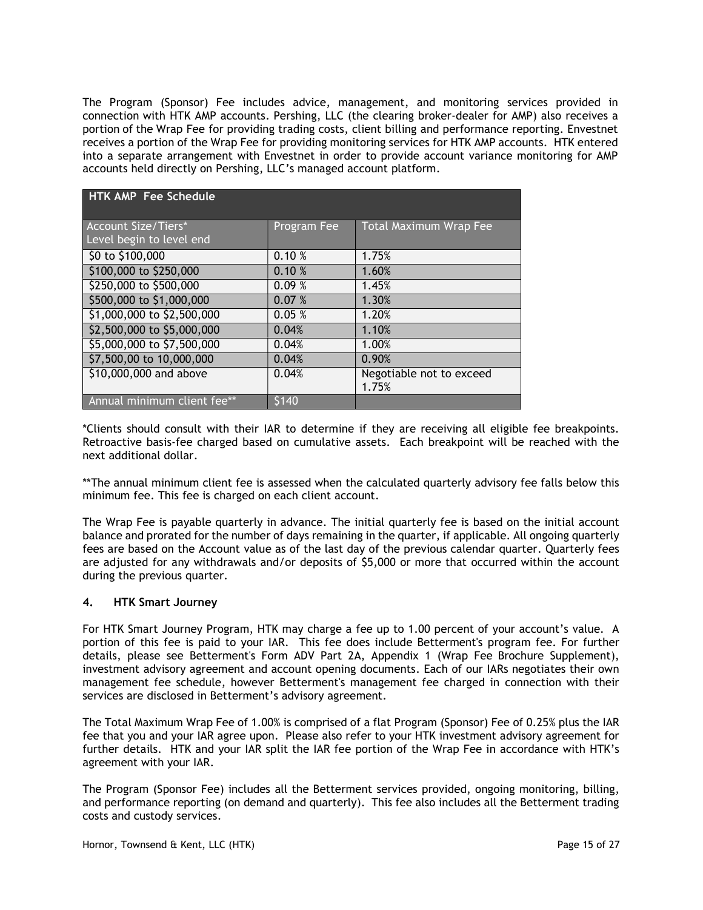The Program (Sponsor) Fee includes advice, management, and monitoring services provided in connection with HTK AMP accounts. Pershing, LLC (the clearing broker-dealer for AMP) also receives a portion of the Wrap Fee for providing trading costs, client billing and performance reporting. Envestnet receives a portion of the Wrap Fee for providing monitoring services for HTK AMP accounts. HTK entered into a separate arrangement with Envestnet in order to provide account variance monitoring for AMP accounts held directly on Pershing, LLC's managed account platform.

| HTK AMP Fee Schedule                                   |             |                                   |  |  |
|--------------------------------------------------------|-------------|-----------------------------------|--|--|
| <b>Account Size/Tiers*</b><br>Level begin to level end | Program Fee | <b>Total Maximum Wrap Fee</b>     |  |  |
| \$0 to \$100,000                                       | 0.10%       | 1.75%                             |  |  |
| \$100,000 to \$250,000                                 | 0.10%       | 1.60%                             |  |  |
| \$250,000 to \$500,000                                 | 0.09%       | 1.45%                             |  |  |
| \$500,000 to \$1,000,000                               | 0.07%       | 1.30%                             |  |  |
| \$1,000,000 to \$2,500,000                             | 0.05%       | 1.20%                             |  |  |
| \$2,500,000 to \$5,000,000                             | 0.04%       | 1.10%                             |  |  |
| \$5,000,000 to \$7,500,000                             | 0.04%       | 1.00%                             |  |  |
| \$7,500,00 to 10,000,000                               | 0.04%       | 0.90%                             |  |  |
| \$10,000,000 and above                                 | 0.04%       | Negotiable not to exceed<br>1.75% |  |  |
| Annual minimum client fee**                            | \$140       |                                   |  |  |

\*Clients should consult with their IAR to determine if they are receiving all eligible fee breakpoints. Retroactive basis-fee charged based on cumulative assets. Each breakpoint will be reached with the next additional dollar.

\*\*The annual minimum client fee is assessed when the calculated quarterly advisory fee falls below this minimum fee. This fee is charged on each client account.

The Wrap Fee is payable quarterly in advance. The initial quarterly fee is based on the initial account balance and prorated for the number of days remaining in the quarter, if applicable. All ongoing quarterly fees are based on the Account value as of the last day of the previous calendar quarter. Quarterly fees are adjusted for any withdrawals and/or deposits of \$5,000 or more that occurred within the account during the previous quarter.

### 4. HTK Smart Journey

For HTK Smart Journey Program, HTK may charge a fee up to 1.00 percent of your account's value. A portion of this fee is paid to your IAR. This fee does include Betterment's program fee. For further details, please see Betterment's Form ADV Part 2A, Appendix 1 (Wrap Fee Brochure Supplement), investment advisory agreement and account opening documents. Each of our IARs negotiates their own management fee schedule, however Betterment's management fee charged in connection with their services are disclosed in Betterment's advisory agreement.

The Total Maximum Wrap Fee of 1.00% is comprised of a flat Program (Sponsor) Fee of 0.25% plus the IAR fee that you and your IAR agree upon. Please also refer to your HTK investment advisory agreement for further details. HTK and your IAR split the IAR fee portion of the Wrap Fee in accordance with HTK's agreement with your IAR.

The Program (Sponsor Fee) includes all the Betterment services provided, ongoing monitoring, billing, and performance reporting (on demand and quarterly). This fee also includes all the Betterment trading costs and custody services.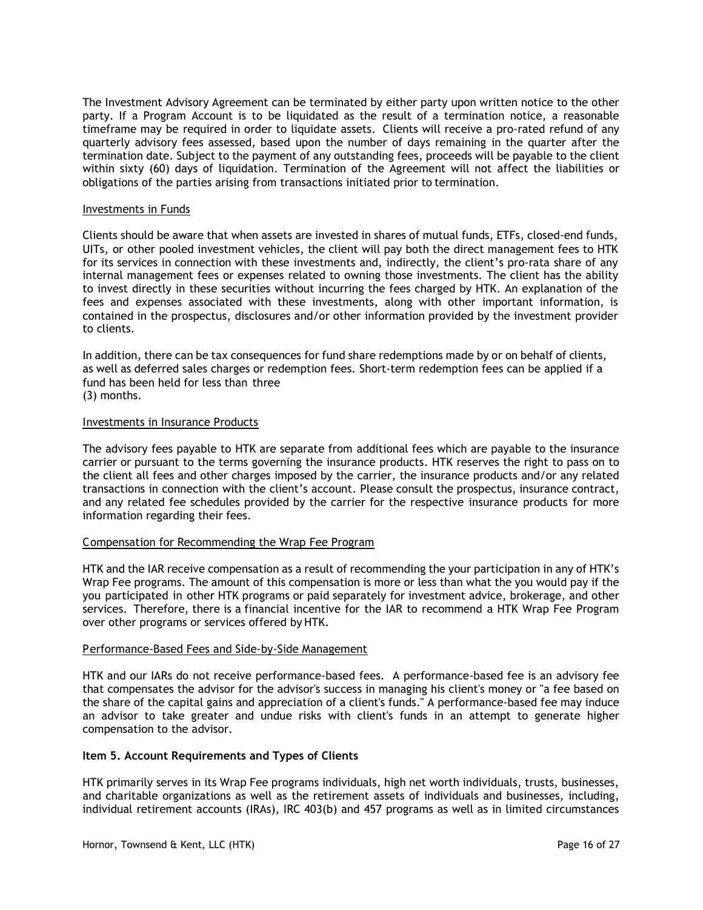The Investment Advisory Agreement can be terminated by either party upon written notice to the other party. If a Program Account is to be liquidated as the result of a termination notice, a reasonable timeframe may be required in order to liquidate assets. Clients will receive a pro-rated refund of any quarterly advisory fees assessed, based upon the number of days remaining in the quarter after the termination date. Subject to the payment of any outstanding fees, proceeds will be payable to the client within sixty (60) days of liquidation. Termination of the Agreement will not affect the liabilities or obligations of the parties arising from transactions initiated prior to termination.

#### Investments in Funds

Clients should be aware that when assets are invested in shares of mutual funds, ETFs, closed-end funds, UITs, or other pooled investment vehicles, the client will pay both the direct management fees to HTK for its services in connection with these investments and, indirectly, the client's pro-rata share of any internal management fees or expenses related to owning those investments. The client has the ability to invest directly in these securities without incurring the fees charged by HTK. An explanation of the fees and expenses associated with these investments, along with other important information, is contained in the prospectus, disclosures and/or other information provided by the investment provider to clients.

In addition, there can be tax consequences for fund share redemptions made by or on behalf of clients, as well as deferred sales charges or redemption fees. Short-term redemption fees can be applied if a fund has been held for less than three (3) months.

#### Investments in Insurance Products

The advisory fees payable to HTK are separate from additional fees which are payable to the insurance carrier or pursuant to the terms governing the insurance products. HTK reserves the right to pass on to the client all fees and other charges imposed by the carrier, the insurance products and/or any related transactions in connection with the client's account. Please consult the prospectus, insurance contract, and any related fee schedules provided by the carrier for the respective insurance products for more information regarding their fees.

### C ompensation for Recommending the Wrap Fee Program

HTK and the IAR receive compensation as a result of recommending the your participation in any of HTK's Wrap Fee programs. The amount of this compensation is more or less than what the you would pay if the you participated in other HTK programs or paid separately for investment advice, brokerage, and other services. Therefore, there is a financial incentive for the IAR to recommend a HTK Wrap Fee Program over other programs or services offered by HTK.

### Performance-Based Fees and Side-by-Side Management

HTK and our IARs do not receive performance-based fees. A performance-based fee is an advisory fee that compensates the advisor for the advisor's success in managing his client's money or "a fee based on the share of the capital gains and appreciation of a client's funds." A performance-based fee may induce an advisor to take greater and undue risks with client's funds in an attempt to generate higher compensation to the advisor.

### Item 5. Account Requirements and Types of Clients

HTK primarily serves in its Wrap Fee programs individuals, high net worth individuals, trusts, businesses, and charitable organizations as well as the retirement assets of individuals and businesses, including, individual retirement accounts (IRAs), IRC 403(b) and 457 programs as well as in limited circumstances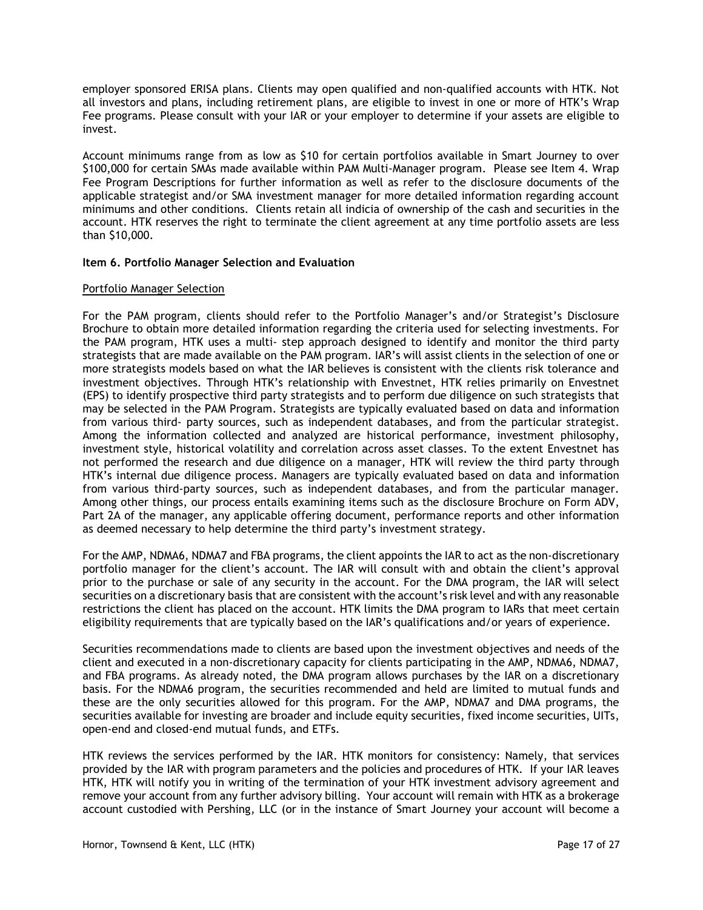employer sponsored ERISA plans. Clients may open qualified and non-qualified accounts with HTK. Not all investors and plans, including retirement plans, are eligible to invest in one or more of HTK's Wrap Fee programs. Please consult with your IAR or your employer to determine if your assets are eligible to invest.

Account minimums range from as low as \$10 for certain portfolios available in Smart Journey to over \$100,000 for certain SMAs made available within PAM Multi-Manager program. Please see Item 4. Wrap Fee Program Descriptions for further information as well as refer to the disclosure documents of the applicable strategist and/or SMA investment manager for more detailed information regarding account minimums and other conditions. Clients retain all indicia of ownership of the cash and securities in the account. HTK reserves the right to terminate the client agreement at any time portfolio assets are less than \$10,000.

# Item 6. Portfolio Manager Selection and Evaluation

### Portfolio Manager Selection

For the PAM program, clients should refer to the Portfolio Manager's and/or Strategist's Disclosure Brochure to obtain more detailed information regarding the criteria used for selecting investments. For the PAM program, HTK uses a multi- step approach designed to identify and monitor the third party strategists that are made available on the PAM program. IAR's will assist clients in the selection of one or more strategists models based on what the IAR believes is consistent with the clients risk tolerance and investment objectives. Through HTK's relationship with Envestnet, HTK relies primarily on Envestnet (EPS) to identify prospective third party strategists and to perform due diligence on such strategists that may be selected in the PAM Program. Strategists are typically evaluated based on data and information from various third- party sources, such as independent databases, and from the particular strategist. Among the information collected and analyzed are historical performance, investment philosophy, investment style, historical volatility and correlation across asset classes. To the extent Envestnet has not performed the research and due diligence on a manager, HTK will review the third party through HTK's internal due diligence process. Managers are typically evaluated based on data and information from various third-party sources, such as independent databases, and from the particular manager. Among other things, our process entails examining items such as the disclosure Brochure on Form ADV, Part 2A of the manager, any applicable offering document, performance reports and other information as deemed necessary to help determine the third party's investment strategy.

For the AMP, NDMA6, NDMA7 and FBA programs, the client appoints the IAR to act as the non-discretionary portfolio manager for the client's account. The IAR will consult with and obtain the client's approval prior to the purchase or sale of any security in the account. For the DMA program, the IAR will select securities on a discretionary basis that are consistent with the account's risk level and with any reasonable restrictions the client has placed on the account. HTK limits the DMA program to IARs that meet certain eligibility requirements that are typically based on the IAR's qualifications and/or years of experience.

Securities recommendations made to clients are based upon the investment objectives and needs of the client and executed in a non-discretionary capacity for clients participating in the AMP, NDMA6, NDMA7, and FBA programs. As already noted, the DMA program allows purchases by the IAR on a discretionary basis. For the NDMA6 program, the securities recommended and held are limited to mutual funds and these are the only securities allowed for this program. For the AMP, NDMA7 and DMA programs, the securities available for investing are broader and include equity securities, fixed income securities, UITs, open-end and closed-end mutual funds, and ETFs.

HTK reviews the services performed by the IAR. HTK monitors for consistency: Namely, that services provided by the IAR with program parameters and the policies and procedures of HTK. If your IAR leaves HTK, HTK will notify you in writing of the termination of your HTK investment advisory agreement and remove your account from any further advisory billing. Your account will remain with HTK as a brokerage account custodied with Pershing, LLC (or in the instance of Smart Journey your account will become a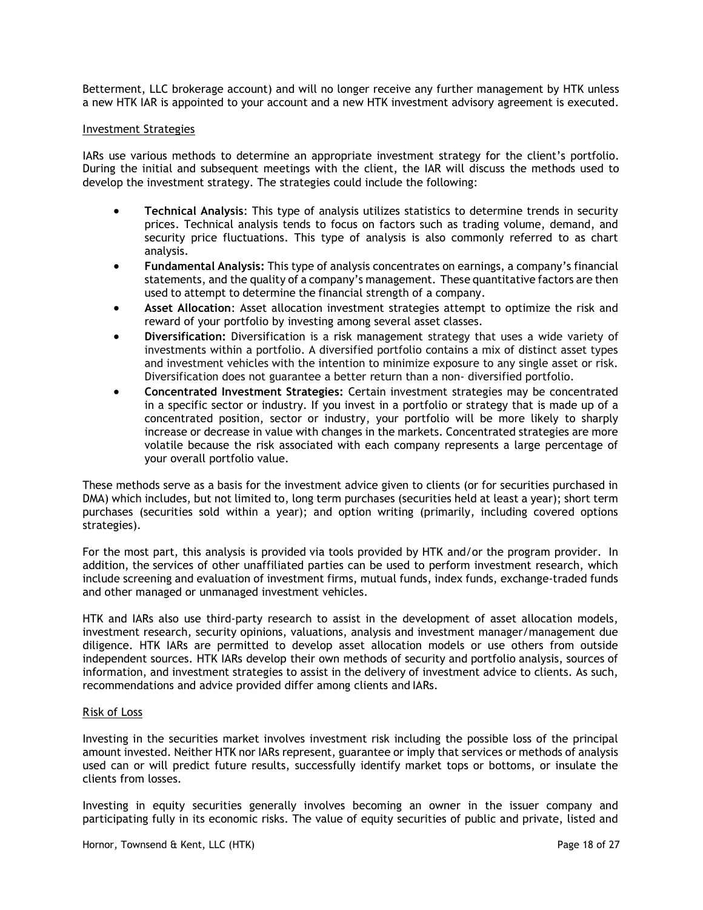Betterment, LLC brokerage account) and will no longer receive any further management by HTK unless a new HTK IAR is appointed to your account and a new HTK investment advisory agreement is executed.

#### I nvestment Strategies

IARs use various methods to determine an appropriate investment strategy for the client's portfolio. During the initial and subsequent meetings with the client, the IAR will discuss the methods used to develop the investment strategy. The strategies could include the following:

- Technical Analysis: This type of analysis utilizes statistics to determine trends in security prices. Technical analysis tends to focus on factors such as trading volume, demand, and security price fluctuations. This type of analysis is also commonly referred to as chart analysis.
- Fundamental Analysis: This type of analysis concentrates on earnings, a company's financial statements, and the quality of a company's management. These quantitative factors are then used to attempt to determine the financial strength of a company.
- Asset Allocation: Asset allocation investment strategies attempt to optimize the risk and reward of your portfolio by investing among several asset classes.
- Diversification: Diversification is a risk management strategy that uses a wide variety of investments within a portfolio. A diversified portfolio contains a mix of distinct asset types and investment vehicles with the intention to minimize exposure to any single asset or risk. Diversification does not guarantee a better return than a non- diversified portfolio.
- Concentrated Investment Strategies: Certain investment strategies may be concentrated in a specific sector or industry. If you invest in a portfolio or strategy that is made up of a concentrated position, sector or industry, your portfolio will be more likely to sharply increase or decrease in value with changes in the markets. Concentrated strategies are more volatile because the risk associated with each company represents a large percentage of your overall portfolio value.

These methods serve as a basis for the investment advice given to clients (or for securities purchased in DMA) which includes, but not limited to, long term purchases (securities held at least a year); short term purchases (securities sold within a year); and option writing (primarily, including covered options strategies).

For the most part, this analysis is provided via tools provided by HTK and/or the program provider. In addition, the services of other unaffiliated parties can be used to perform investment research, which include screening and evaluation of investment firms, mutual funds, index funds, exchange-traded funds and other managed or unmanaged investment vehicles.

HTK and IARs also use third-party research to assist in the development of asset allocation models, investment research, security opinions, valuations, analysis and investment manager/management due diligence. HTK IARs are permitted to develop asset allocation models or use others from outside independent sources. HTK IARs develop their own methods of security and portfolio analysis, sources of information, and investment strategies to assist in the delivery of investment advice to clients. As such, recommendations and advice provided differ among clients and IARs.

#### R isk of Loss

Investing in the securities market involves investment risk including the possible loss of the principal amount invested. Neither HTK nor IARs represent, guarantee or imply that services or methods of analysis used can or will predict future results, successfully identify market tops or bottoms, or insulate the clients from losses.

Investing in equity securities generally involves becoming an owner in the issuer company and participating fully in its economic risks. The value of equity securities of public and private, listed and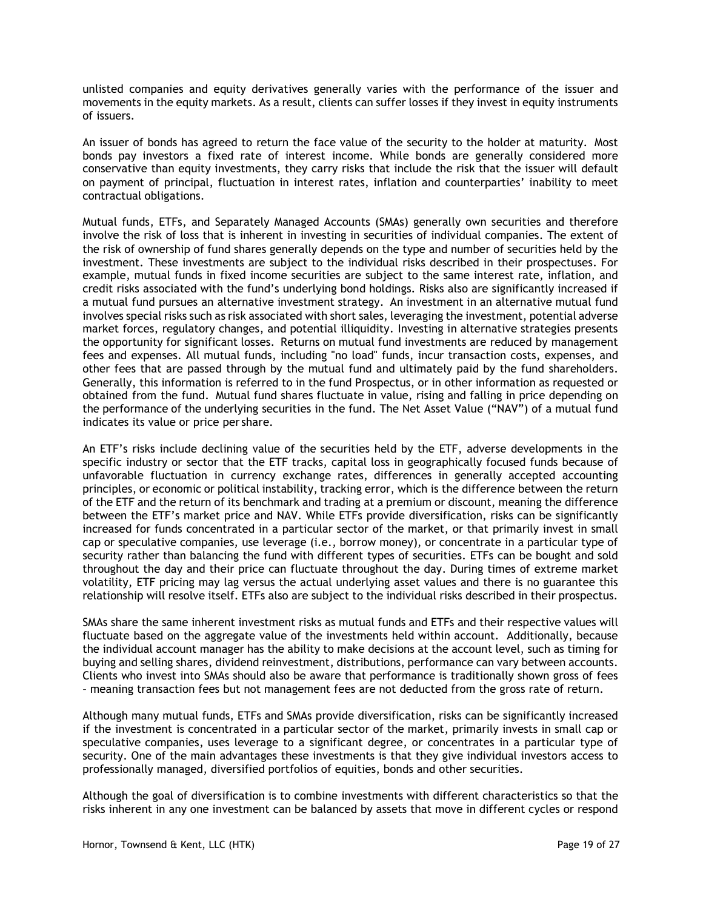unlisted companies and equity derivatives generally varies with the performance of the issuer and movements in the equity markets. As a result, clients can suffer losses if they invest in equity instruments of issuers.

An issuer of bonds has agreed to return the face value of the security to the holder at maturity. Most bonds pay investors a fixed rate of interest income. While bonds are generally considered more conservative than equity investments, they carry risks that include the risk that the issuer will default on payment of principal, fluctuation in interest rates, inflation and counterparties' inability to meet contractual obligations.

Mutual funds, ETFs, and Separately Managed Accounts (SMAs) generally own securities and therefore involve the risk of loss that is inherent in investing in securities of individual companies. The extent of the risk of ownership of fund shares generally depends on the type and number of securities held by the investment. These investments are subject to the individual risks described in their prospectuses. For example, mutual funds in fixed income securities are subject to the same interest rate, inflation, and credit risks associated with the fund's underlying bond holdings. Risks also are significantly increased if a mutual fund pursues an alternative investment strategy. An investment in an alternative mutual fund involves special risks such as risk associated with short sales, leveraging the investment, potential adverse market forces, regulatory changes, and potential illiquidity. Investing in alternative strategies presents the opportunity for significant losses. Returns on mutual fund investments are reduced by management fees and expenses. All mutual funds, including "no load" funds, incur transaction costs, expenses, and other fees that are passed through by the mutual fund and ultimately paid by the fund shareholders. Generally, this information is referred to in the fund Prospectus, or in other information as requested or obtained from the fund. Mutual fund shares fluctuate in value, rising and falling in price depending on the performance of the underlying securities in the fund. The Net Asset Value ("NAV") of a mutual fund indicates its value or price per share.

An ETF's risks include declining value of the securities held by the ETF, adverse developments in the specific industry or sector that the ETF tracks, capital loss in geographically focused funds because of unfavorable fluctuation in currency exchange rates, differences in generally accepted accounting principles, or economic or political instability, tracking error, which is the difference between the return of the ETF and the return of its benchmark and trading at a premium or discount, meaning the difference between the ETF's market price and NAV. While ETFs provide diversification, risks can be significantly increased for funds concentrated in a particular sector of the market, or that primarily invest in small cap or speculative companies, use leverage (i.e., borrow money), or concentrate in a particular type of security rather than balancing the fund with different types of securities. ETFs can be bought and sold throughout the day and their price can fluctuate throughout the day. During times of extreme market volatility, ETF pricing may lag versus the actual underlying asset values and there is no guarantee this relationship will resolve itself. ETFs also are subject to the individual risks described in their prospectus.

SMAs share the same inherent investment risks as mutual funds and ETFs and their respective values will fluctuate based on the aggregate value of the investments held within account. Additionally, because the individual account manager has the ability to make decisions at the account level, such as timing for buying and selling shares, dividend reinvestment, distributions, performance can vary between accounts. Clients who invest into SMAs should also be aware that performance is traditionally shown gross of fees – meaning transaction fees but not management fees are not deducted from the gross rate of return.

Although many mutual funds, ETFs and SMAs provide diversification, risks can be significantly increased if the investment is concentrated in a particular sector of the market, primarily invests in small cap or speculative companies, uses leverage to a significant degree, or concentrates in a particular type of security. One of the main advantages these investments is that they give individual investors access to professionally managed, diversified portfolios of equities, bonds and other securities.

Although the goal of diversification is to combine investments with different characteristics so that the risks inherent in any one investment can be balanced by assets that move in different cycles or respond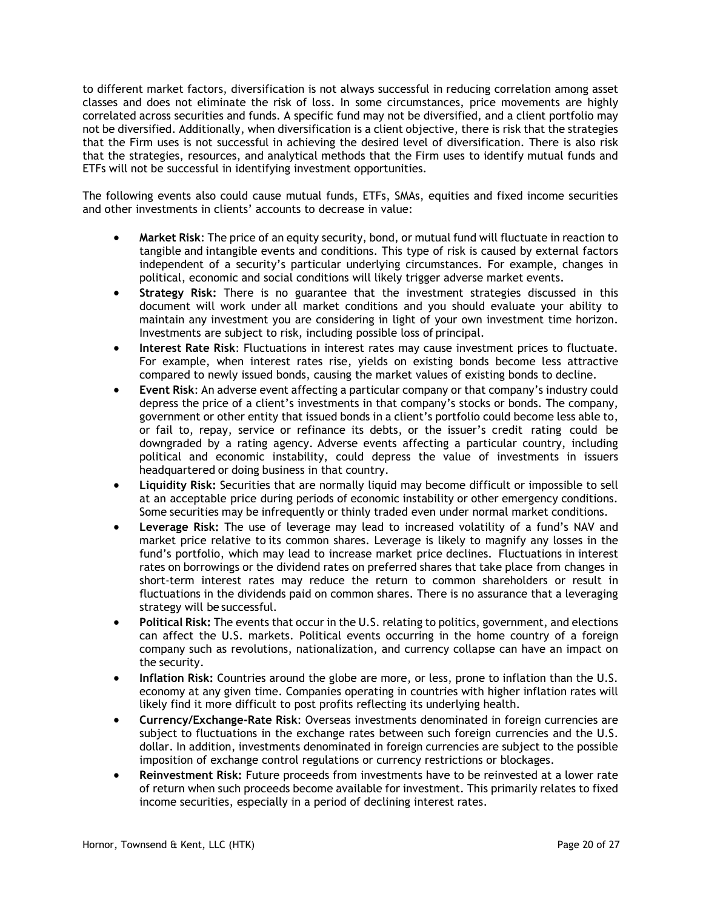to different market factors, diversification is not always successful in reducing correlation among asset classes and does not eliminate the risk of loss. In some circumstances, price movements are highly correlated across securities and funds. A specific fund may not be diversified, and a client portfolio may not be diversified. Additionally, when diversification is a client objective, there is risk that the strategies that the Firm uses is not successful in achieving the desired level of diversification. There is also risk that the strategies, resources, and analytical methods that the Firm uses to identify mutual funds and ETFs will not be successful in identifying investment opportunities.

The following events also could cause mutual funds, ETFs, SMAs, equities and fixed income securities and other investments in clients' accounts to decrease in value:

- Market Risk: The price of an equity security, bond, or mutual fund will fluctuate in reaction to tangible and intangible events and conditions. This type of risk is caused by external factors independent of a security's particular underlying circumstances. For example, changes in political, economic and social conditions will likely trigger adverse market events.
- Strategy Risk: There is no guarantee that the investment strategies discussed in this document will work under all market conditions and you should evaluate your ability to maintain any investment you are considering in light of your own investment time horizon. Investments are subject to risk, including possible loss of principal.
- Interest Rate Risk: Fluctuations in interest rates may cause investment prices to fluctuate. For example, when interest rates rise, yields on existing bonds become less attractive compared to newly issued bonds, causing the market values of existing bonds to decline.
- Event Risk: An adverse event affecting a particular company or that company's industry could depress the price of a client's investments in that company's stocks or bonds. The company, government or other entity that issued bonds in a client's portfolio could become less able to, or fail to, repay, service or refinance its debts, or the issuer's credit rating could be downgraded by a rating agency. Adverse events affecting a particular country, including political and economic instability, could depress the value of investments in issuers headquartered or doing business in that country.
- Liquidity Risk: Securities that are normally liquid may become difficult or impossible to sell at an acceptable price during periods of economic instability or other emergency conditions. Some securities may be infrequently or thinly traded even under normal market conditions.
- Leverage Risk: The use of leverage may lead to increased volatility of a fund's NAV and market price relative to its common shares. Leverage is likely to magnify any losses in the fund's portfolio, which may lead to increase market price declines. Fluctuations in interest rates on borrowings or the dividend rates on preferred shares that take place from changes in short-term interest rates may reduce the return to common shareholders or result in fluctuations in the dividends paid on common shares. There is no assurance that a leveraging strategy will be successful.
- Political Risk: The events that occur in the U.S. relating to politics, government, and elections can affect the U.S. markets. Political events occurring in the home country of a foreign company such as revolutions, nationalization, and currency collapse can have an impact on the security.
- Inflation Risk: Countries around the globe are more, or less, prone to inflation than the U.S. economy at any given time. Companies operating in countries with higher inflation rates will likely find it more difficult to post profits reflecting its underlying health.
- Currency/Exchange-Rate Risk: Overseas investments denominated in foreign currencies are subject to fluctuations in the exchange rates between such foreign currencies and the U.S. dollar. In addition, investments denominated in foreign currencies are subject to the possible imposition of exchange control regulations or currency restrictions or blockages.
- Reinvestment Risk: Future proceeds from investments have to be reinvested at a lower rate of return when such proceeds become available for investment. This primarily relates to fixed income securities, especially in a period of declining interest rates.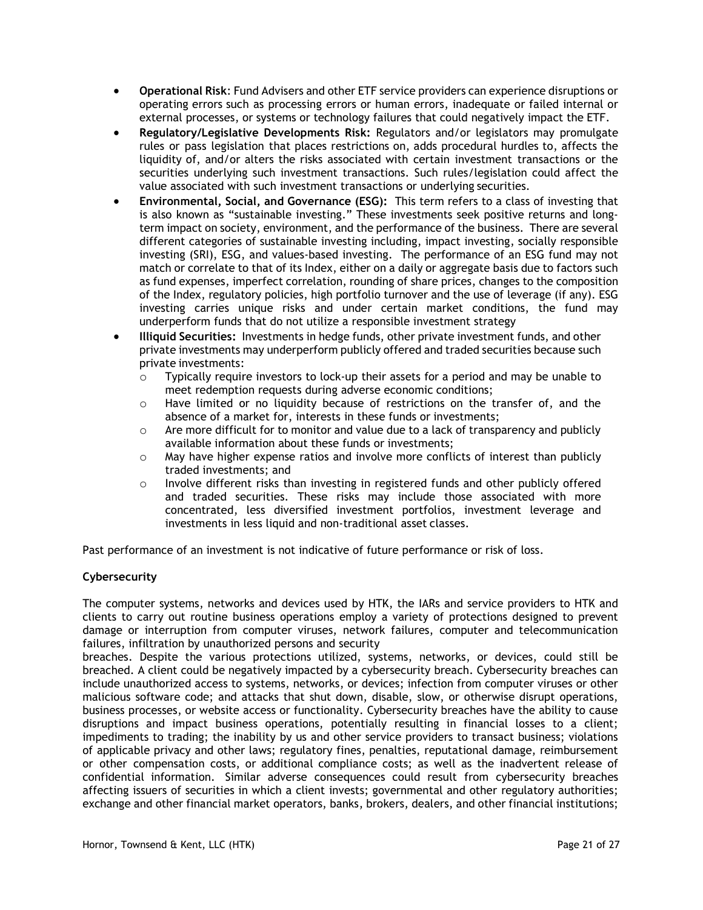- Operational Risk: Fund Advisers and other ETF service providers can experience disruptions or operating errors such as processing errors or human errors, inadequate or failed internal or external processes, or systems or technology failures that could negatively impact the ETF.
- Regulatory/Legislative Developments Risk: Regulators and/or legislators may promulgate rules or pass legislation that places restrictions on, adds procedural hurdles to, affects the liquidity of, and/or alters the risks associated with certain investment transactions or the securities underlying such investment transactions. Such rules/legislation could affect the value associated with such investment transactions or underlying securities.
- Environmental, Social, and Governance (ESG): This term refers to a class of investing that is also known as "sustainable investing." These investments seek positive returns and longterm impact on society, environment, and the performance of the business. There are several different categories of sustainable investing including, impact investing, socially responsible investing (SRI), ESG, and values-based investing. The performance of an ESG fund may not match or correlate to that of its Index, either on a daily or aggregate basis due to factors such as fund expenses, imperfect correlation, rounding of share prices, changes to the composition of the Index, regulatory policies, high portfolio turnover and the use of leverage (if any). ESG investing carries unique risks and under certain market conditions, the fund may underperform funds that do not utilize a responsible investment strategy
- Illiquid Securities: Investments in hedge funds, other private investment funds, and other private investments may underperform publicly offered and traded securities because such private investments:
	- $\circ$  Typically require investors to lock-up their assets for a period and may be unable to meet redemption requests during adverse economic conditions;
	- $\circ$  Have limited or no liquidity because of restrictions on the transfer of, and the absence of a market for, interests in these funds or investments;
	- $\circ$  Are more difficult for to monitor and value due to a lack of transparency and publicly available information about these funds or investments;
	- $\circ$  May have higher expense ratios and involve more conflicts of interest than publicly traded investments; and
	- o Involve different risks than investing in registered funds and other publicly offered and traded securities. These risks may include those associated with more concentrated, less diversified investment portfolios, investment leverage and investments in less liquid and non-traditional asset classes.

Past performance of an investment is not indicative of future performance or risk of loss.

# Cybersecurity

The computer systems, networks and devices used by HTK, the IARs and service providers to HTK and clients to carry out routine business operations employ a variety of protections designed to prevent damage or interruption from computer viruses, network failures, computer and telecommunication failures, infiltration by unauthorized persons and security

breaches. Despite the various protections utilized, systems, networks, or devices, could still be breached. A client could be negatively impacted by a cybersecurity breach. Cybersecurity breaches can include unauthorized access to systems, networks, or devices; infection from computer viruses or other malicious software code; and attacks that shut down, disable, slow, or otherwise disrupt operations, business processes, or website access or functionality. Cybersecurity breaches have the ability to cause disruptions and impact business operations, potentially resulting in financial losses to a client; impediments to trading; the inability by us and other service providers to transact business; violations of applicable privacy and other laws; regulatory fines, penalties, reputational damage, reimbursement or other compensation costs, or additional compliance costs; as well as the inadvertent release of confidential information. Similar adverse consequences could result from cybersecurity breaches affecting issuers of securities in which a client invests; governmental and other regulatory authorities; exchange and other financial market operators, banks, brokers, dealers, and other financial institutions;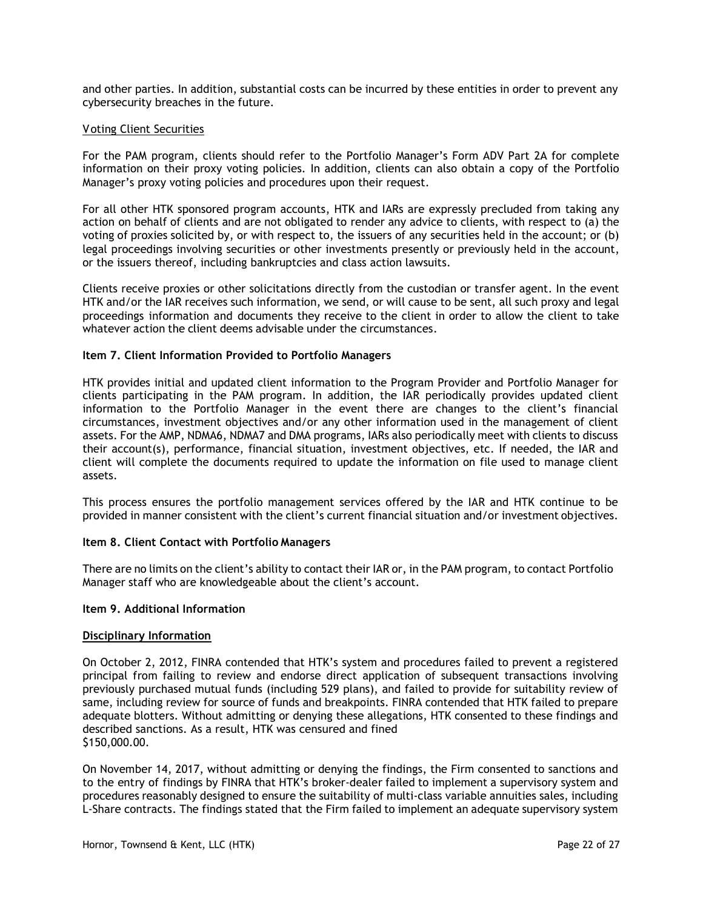and other parties. In addition, substantial costs can be incurred by these entities in order to prevent any cybersecurity breaches in the future.

#### V oting Client Securities

For the PAM program, clients should refer to the Portfolio Manager's Form ADV Part 2A for complete information on their proxy voting policies. In addition, clients can also obtain a copy of the Portfolio Manager's proxy voting policies and procedures upon their request.

For all other HTK sponsored program accounts, HTK and IARs are expressly precluded from taking any action on behalf of clients and are not obligated to render any advice to clients, with respect to (a) the voting of proxies solicited by, or with respect to, the issuers of any securities held in the account; or (b) legal proceedings involving securities or other investments presently or previously held in the account, or the issuers thereof, including bankruptcies and class action lawsuits.

Clients receive proxies or other solicitations directly from the custodian or transfer agent. In the event HTK and/or the IAR receives such information, we send, or will cause to be sent, all such proxy and legal proceedings information and documents they receive to the client in order to allow the client to take whatever action the client deems advisable under the circumstances.

### Item 7. Client Information Provided to Portfolio Managers

HTK provides initial and updated client information to the Program Provider and Portfolio Manager for clients participating in the PAM program. In addition, the IAR periodically provides updated client information to the Portfolio Manager in the event there are changes to the client's financial circumstances, investment objectives and/or any other information used in the management of client assets. For the AMP, NDMA6, NDMA7 and DMA programs, IARs also periodically meet with clients to discuss their account(s), performance, financial situation, investment objectives, etc. If needed, the IAR and client will complete the documents required to update the information on file used to manage client assets.

This process ensures the portfolio management services offered by the IAR and HTK continue to be provided in manner consistent with the client's current financial situation and/or investment objectives.

#### Item 8. Client Contact with Portfolio Managers

There are no limits on the client's ability to contact their IAR or, in the PAM program, to contact Portfolio Manager staff who are knowledgeable about the client's account.

#### Item 9. Additional Information

#### Disciplinary Information

On October 2, 2012, FINRA contended that HTK's system and procedures failed to prevent a registered principal from failing to review and endorse direct application of subsequent transactions involving previously purchased mutual funds (including 529 plans), and failed to provide for suitability review of same, including review for source of funds and breakpoints. FINRA contended that HTK failed to prepare adequate blotters. Without admitting or denying these allegations, HTK consented to these findings and described sanctions. As a result, HTK was censured and fined \$150,000.00.

On November 14, 2017, without admitting or denying the findings, the Firm consented to sanctions and to the entry of findings by FINRA that HTK's broker-dealer failed to implement a supervisory system and procedures reasonably designed to ensure the suitability of multi-class variable annuities sales, including L-Share contracts. The findings stated that the Firm failed to implement an adequate supervisory system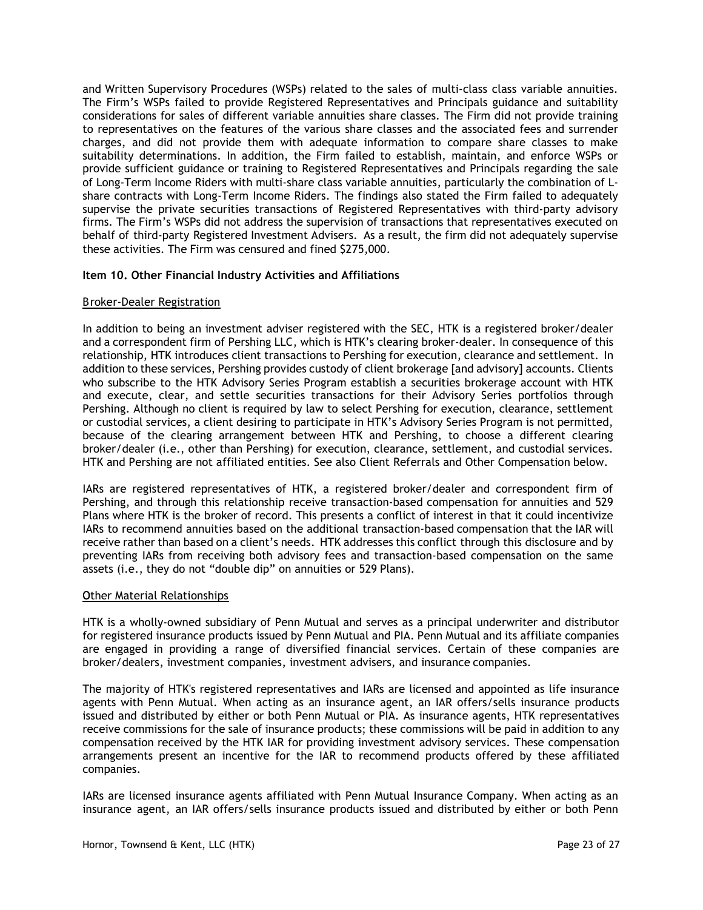and Written Supervisory Procedures (WSPs) related to the sales of multi-class class variable annuities. The Firm's WSPs failed to provide Registered Representatives and Principals guidance and suitability considerations for sales of different variable annuities share classes. The Firm did not provide training to representatives on the features of the various share classes and the associated fees and surrender charges, and did not provide them with adequate information to compare share classes to make suitability determinations. In addition, the Firm failed to establish, maintain, and enforce WSPs or provide sufficient guidance or training to Registered Representatives and Principals regarding the sale of Long-Term Income Riders with multi-share class variable annuities, particularly the combination of Lshare contracts with Long-Term Income Riders. The findings also stated the Firm failed to adequately supervise the private securities transactions of Registered Representatives with third-party advisory firms. The Firm's WSPs did not address the supervision of transactions that representatives executed on behalf of third-party Registered Investment Advisers. As a result, the firm did not adequately supervise these activities. The Firm was censured and fined \$275,000.

# Item 10. Other Financial Industry Activities and Affiliations

### B roker-Dealer Registration

In addition to being an investment adviser registered with the SEC, HTK is a registered broker/dealer and a correspondent firm of Pershing LLC, which is HTK's clearing broker-dealer. In consequence of this relationship, HTK introduces client transactions to Pershing for execution, clearance and settlement. In addition to these services, Pershing provides custody of client brokerage [and advisory] accounts. Clients who subscribe to the HTK Advisory Series Program establish a securities brokerage account with HTK and execute, clear, and settle securities transactions for their Advisory Series portfolios through Pershing. Although no client is required by law to select Pershing for execution, clearance, settlement or custodial services, a client desiring to participate in HTK's Advisory Series Program is not permitted, because of the clearing arrangement between HTK and Pershing, to choose a different clearing broker/dealer (i.e., other than Pershing) for execution, clearance, settlement, and custodial services. HTK and Pershing are not affiliated entities. See also Client Referrals and Other Compensation below.

IARs are registered representatives of HTK, a registered broker/dealer and correspondent firm of Pershing, and through this relationship receive transaction-based compensation for annuities and 529 Plans where HTK is the broker of record. This presents a conflict of interest in that it could incentivize IARs to recommend annuities based on the additional transaction-based compensation that the IAR will receive rather than based on a client's needs. HTK addresses this conflict through this disclosure and by preventing IARs from receiving both advisory fees and transaction-based compensation on the same assets (i.e., they do not "double dip" on annuities or 529 Plans).

### Other Material Relationships

HTK is a wholly-owned subsidiary of Penn Mutual and serves as a principal underwriter and distributor for registered insurance products issued by Penn Mutual and PIA. Penn Mutual and its affiliate companies are engaged in providing a range of diversified financial services. Certain of these companies are broker/dealers, investment companies, investment advisers, and insurance companies.

The majority of HTK's registered representatives and IARs are licensed and appointed as life insurance agents with Penn Mutual. When acting as an insurance agent, an IAR offers/sells insurance products issued and distributed by either or both Penn Mutual or PIA. As insurance agents, HTK representatives receive commissions for the sale of insurance products; these commissions will be paid in addition to any compensation received by the HTK IAR for providing investment advisory services. These compensation arrangements present an incentive for the IAR to recommend products offered by these affiliated companies.

IARs are licensed insurance agents affiliated with Penn Mutual Insurance Company. When acting as an insurance agent, an IAR offers/sells insurance products issued and distributed by either or both Penn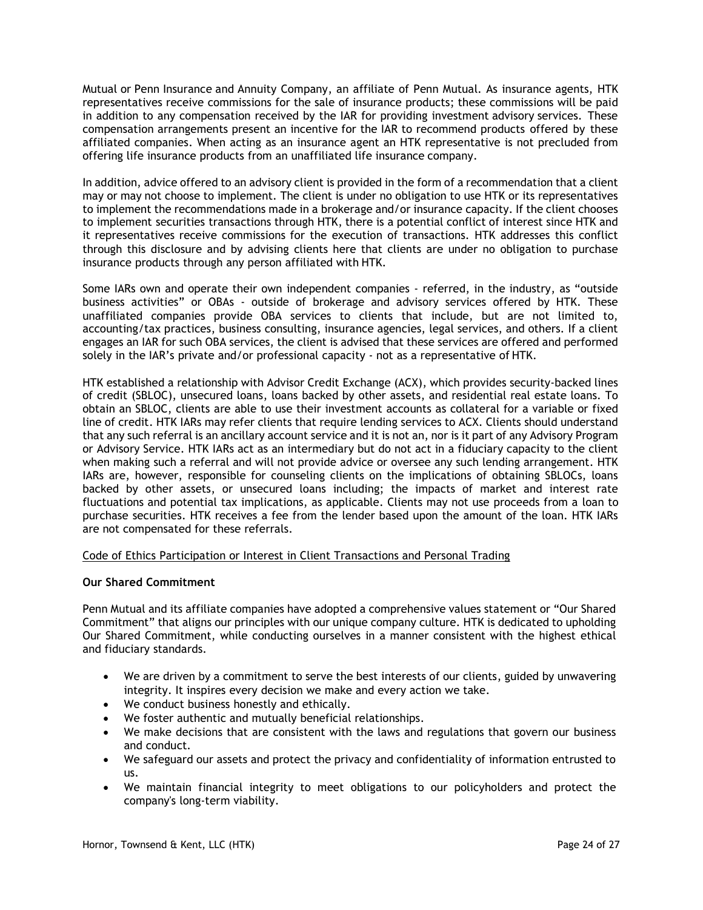Mutual or Penn Insurance and Annuity Company, an affiliate of Penn Mutual. As insurance agents, HTK representatives receive commissions for the sale of insurance products; these commissions will be paid in addition to any compensation received by the IAR for providing investment advisory services. These compensation arrangements present an incentive for the IAR to recommend products offered by these affiliated companies. When acting as an insurance agent an HTK representative is not precluded from offering life insurance products from an unaffiliated life insurance company.

In addition, advice offered to an advisory client is provided in the form of a recommendation that a client may or may not choose to implement. The client is under no obligation to use HTK or its representatives to implement the recommendations made in a brokerage and/or insurance capacity. If the client chooses to implement securities transactions through HTK, there is a potential conflict of interest since HTK and it representatives receive commissions for the execution of transactions. HTK addresses this conflict through this disclosure and by advising clients here that clients are under no obligation to purchase insurance products through any person affiliated with HTK.

Some IARs own and operate their own independent companies - referred, in the industry, as "outside business activities" or OBAs - outside of brokerage and advisory services offered by HTK. These unaffiliated companies provide OBA services to clients that include, but are not limited to, accounting/tax practices, business consulting, insurance agencies, legal services, and others. If a client engages an IAR for such OBA services, the client is advised that these services are offered and performed solely in the IAR's private and/or professional capacity - not as a representative of HTK.

HTK established a relationship with Advisor Credit Exchange (ACX), which provides security-backed lines of credit (SBLOC), unsecured loans, loans backed by other assets, and residential real estate loans. To obtain an SBLOC, clients are able to use their investment accounts as collateral for a variable or fixed line of credit. HTK IARs may refer clients that require lending services to ACX. Clients should understand that any such referral is an ancillary account service and it is not an, nor is it part of any Advisory Program or Advisory Service. HTK IARs act as an intermediary but do not act in a fiduciary capacity to the client when making such a referral and will not provide advice or oversee any such lending arrangement. HTK IARs are, however, responsible for counseling clients on the implications of obtaining SBLOCs, loans backed by other assets, or unsecured loans including; the impacts of market and interest rate fluctuations and potential tax implications, as applicable. Clients may not use proceeds from a loan to purchase securities. HTK receives a fee from the lender based upon the amount of the loan. HTK IARs are not compensated for these referrals.

Code of Ethics Participation or Interest in Client Transactions and Personal Trading

### Our Shared Commitment

Penn Mutual and its affiliate companies have adopted a comprehensive values statement or "Our Shared Commitment" that aligns our principles with our unique company culture. HTK is dedicated to upholding Our Shared Commitment, while conducting ourselves in a manner consistent with the highest ethical and fiduciary standards.

- We are driven by a commitment to serve the best interests of our clients, guided by unwavering integrity. It inspires every decision we make and every action we take.
- We conduct business honestly and ethically.
- We foster authentic and mutually beneficial relationships.
- We make decisions that are consistent with the laws and regulations that govern our business and conduct.
- We safeguard our assets and protect the privacy and confidentiality of information entrusted to us.
- We maintain financial integrity to meet obligations to our policyholders and protect the company's long-term viability.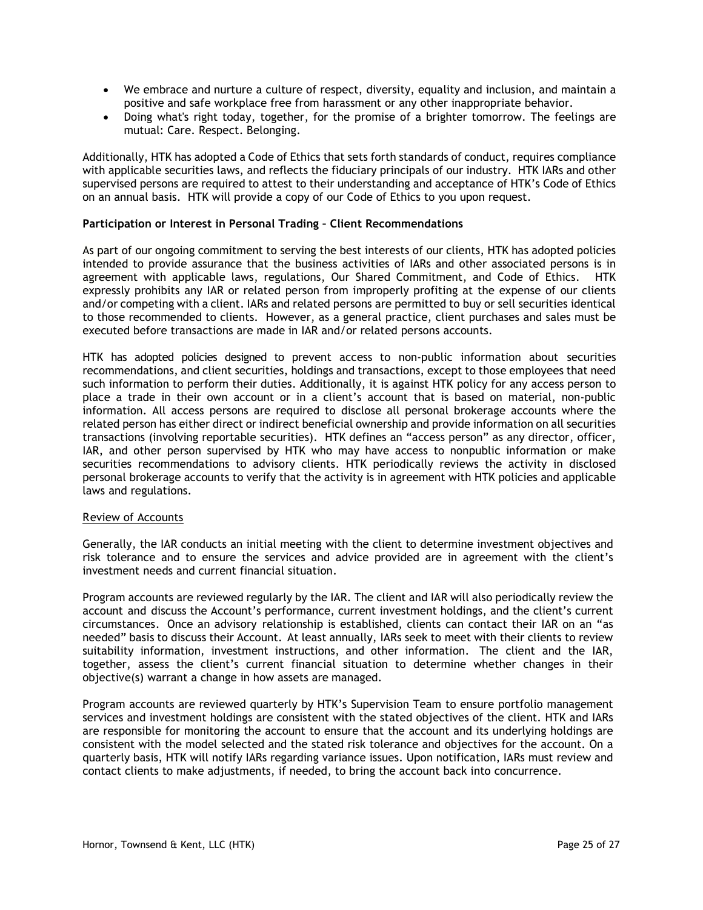- We embrace and nurture a culture of respect, diversity, equality and inclusion, and maintain a positive and safe workplace free from harassment or any other inappropriate behavior.
- Doing what's right today, together, for the promise of a brighter tomorrow. The feelings are mutual: Care. Respect. Belonging.

Additionally, HTK has adopted a Code of Ethics that sets forth standards of conduct, requires compliance with applicable securities laws, and reflects the fiduciary principals of our industry. HTK IARs and other supervised persons are required to attest to their understanding and acceptance of HTK's Code of Ethics on an annual basis. HTK will provide a copy of our Code of Ethics to you upon request.

#### Participation or Interest in Personal Trading – Client Recommendations

As part of our ongoing commitment to serving the best interests of our clients, HTK has adopted policies intended to provide assurance that the business activities of IARs and other associated persons is in agreement with applicable laws, regulations, Our Shared Commitment, and Code of Ethics. HTK expressly prohibits any IAR or related person from improperly profiting at the expense of our clients and/or competing with a client. IARs and related persons are permitted to buy or sell securities identical to those recommended to clients. However, as a general practice, client purchases and sales must be executed before transactions are made in IAR and/or related persons accounts.

HTK has adopted policies designed to prevent access to non-public information about securities recommendations, and client securities, holdings and transactions, except to those employees that need such information to perform their duties. Additionally, it is against HTK policy for any access person to place a trade in their own account or in a client's account that is based on material, non-public information. All access persons are required to disclose all personal brokerage accounts where the related person has either direct or indirect beneficial ownership and provide information on all securities transactions (involving reportable securities). HTK defines an "access person" as any director, officer, IAR, and other person supervised by HTK who may have access to nonpublic information or make securities recommendations to advisory clients. HTK periodically reviews the activity in disclosed personal brokerage accounts to verify that the activity is in agreement with HTK policies and applicable laws and regulations.

#### Review of Accounts

Generally, the IAR conducts an initial meeting with the client to determine investment objectives and risk tolerance and to ensure the services and advice provided are in agreement with the client's investment needs and current financial situation.

Program accounts are reviewed regularly by the IAR. The client and IAR will also periodically review the account and discuss the Account's performance, current investment holdings, and the client's current circumstances. Once an advisory relationship is established, clients can contact their IAR on an "as needed" basis to discuss their Account. At least annually, IARs seek to meet with their clients to review suitability information, investment instructions, and other information. The client and the IAR, together, assess the client's current financial situation to determine whether changes in their objective(s) warrant a change in how assets are managed.

Program accounts are reviewed quarterly by HTK's Supervision Team to ensure portfolio management services and investment holdings are consistent with the stated objectives of the client. HTK and IARs are responsible for monitoring the account to ensure that the account and its underlying holdings are consistent with the model selected and the stated risk tolerance and objectives for the account. On a quarterly basis, HTK will notify IARs regarding variance issues. Upon notification, IARs must review and contact clients to make adjustments, if needed, to bring the account back into concurrence.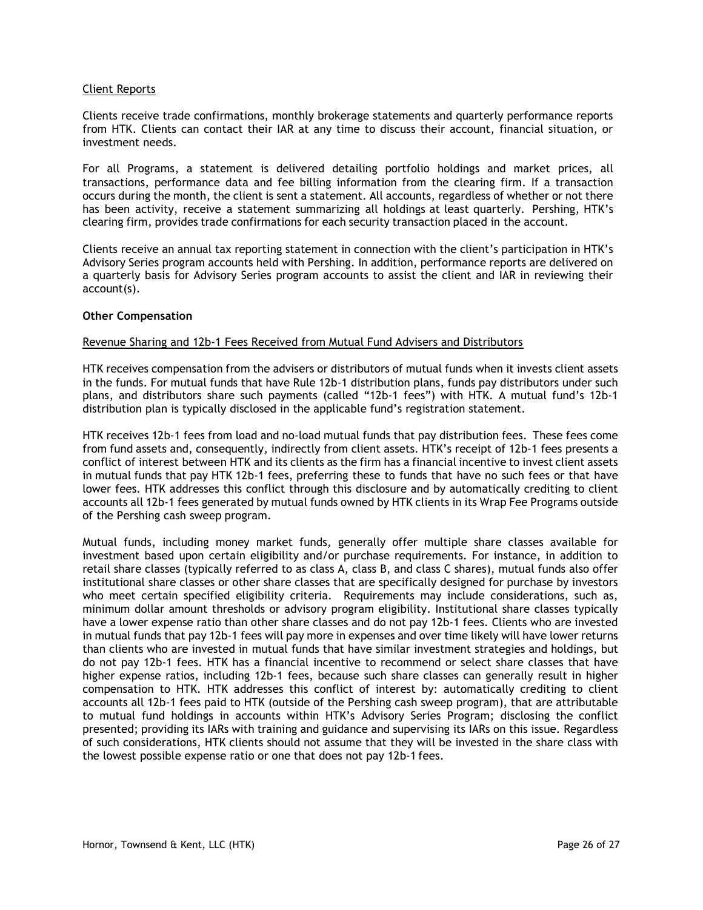#### Client Reports

Clients receive trade confirmations, monthly brokerage statements and quarterly performance reports from HTK. Clients can contact their IAR at any time to discuss their account, financial situation, or investment needs.

For all Programs, a statement is delivered detailing portfolio holdings and market prices, all transactions, performance data and fee billing information from the clearing firm. If a transaction occurs during the month, the client is sent a statement. All accounts, regardless of whether or not there has been activity, receive a statement summarizing all holdings at least quarterly. Pershing, HTK's clearing firm, provides trade confirmations for each security transaction placed in the account.

Clients receive an annual tax reporting statement in connection with the client's participation in HTK's Advisory Series program accounts held with Pershing. In addition, performance reports are delivered on a quarterly basis for Advisory Series program accounts to assist the client and IAR in reviewing their account(s).

#### Other Compensation

#### Revenue Sharing and 12b-1 Fees Received from Mutual Fund Advisers and Distributors

HTK receives compensation from the advisers or distributors of mutual funds when it invests client assets in the funds. For mutual funds that have Rule 12b-1 distribution plans, funds pay distributors under such plans, and distributors share such payments (called "12b-1 fees") with HTK. A mutual fund's 12b-1 distribution plan is typically disclosed in the applicable fund's registration statement.

HTK receives 12b-1 fees from load and no-load mutual funds that pay distribution fees. These fees come from fund assets and, consequently, indirectly from client assets. HTK's receipt of 12b-1 fees presents a conflict of interest between HTK and its clients as the firm has a financial incentive to invest client assets in mutual funds that pay HTK 12b-1 fees, preferring these to funds that have no such fees or that have lower fees. HTK addresses this conflict through this disclosure and by automatically crediting to client accounts all 12b-1 fees generated by mutual funds owned by HTK clients in its Wrap Fee Programs outside of the Pershing cash sweep program.

Mutual funds, including money market funds, generally offer multiple share classes available for investment based upon certain eligibility and/or purchase requirements. For instance, in addition to retail share classes (typically referred to as class A, class B, and class C shares), mutual funds also offer institutional share classes or other share classes that are specifically designed for purchase by investors who meet certain specified eligibility criteria. Requirements may include considerations, such as, minimum dollar amount thresholds or advisory program eligibility. Institutional share classes typically have a lower expense ratio than other share classes and do not pay 12b-1 fees. Clients who are invested in mutual funds that pay 12b-1 fees will pay more in expenses and over time likely will have lower returns than clients who are invested in mutual funds that have similar investment strategies and holdings, but do not pay 12b-1 fees. HTK has a financial incentive to recommend or select share classes that have higher expense ratios, including 12b-1 fees, because such share classes can generally result in higher compensation to HTK. HTK addresses this conflict of interest by: automatically crediting to client accounts all 12b-1 fees paid to HTK (outside of the Pershing cash sweep program), that are attributable to mutual fund holdings in accounts within HTK's Advisory Series Program; disclosing the conflict presented; providing its IARs with training and guidance and supervising its IARs on this issue. Regardless of such considerations, HTK clients should not assume that they will be invested in the share class with the lowest possible expense ratio or one that does not pay 12b-1 fees.